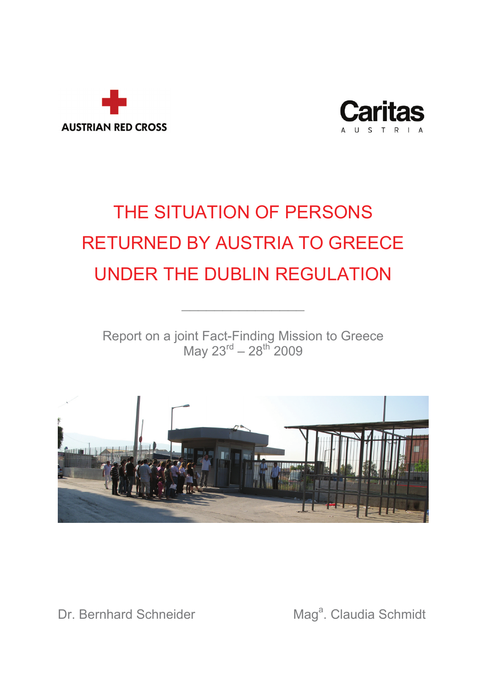



# THE SITUATION OF PERSONS RETURNED BY AUSTRIA TO GREECE UNDER THE DUBLIN REGULATION

Report on a joint Fact-Finding Mission to Greece May 23 $^{rd}$  – 28 $^{th}$  2009

 $\frac{1}{2}$  ,  $\frac{1}{2}$  ,  $\frac{1}{2}$  ,  $\frac{1}{2}$  ,  $\frac{1}{2}$  ,  $\frac{1}{2}$  ,  $\frac{1}{2}$ 



Dr. Bernhard Schneider

Mag<sup>a</sup>. Claudia Schmidt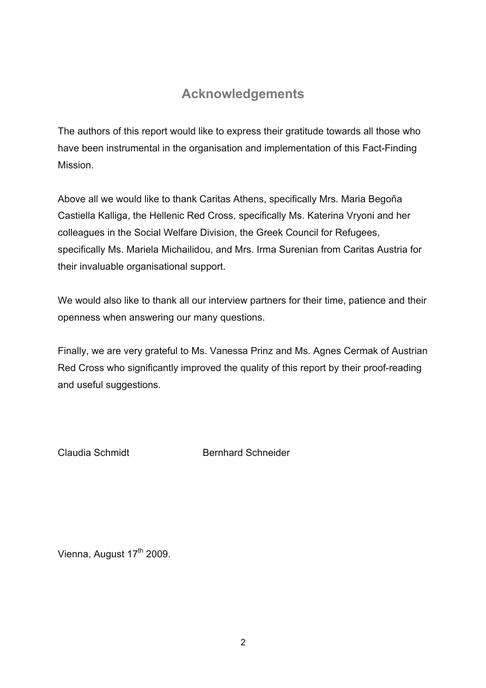## **Acknowledgements**

The authors of this report would like to express their gratitude towards all those who have been instrumental in the organisation and implementation of this Fact-Finding Mission.

Above all we would like to thank Caritas Athens, specifically Mrs. Maria Begoña Castiella Kalliga, the Hellenic Red Cross, specifically Ms. Katerina Vryoni and her colleagues in the Social Welfare Division, the Greek Council for Refugees, specifically Ms. Mariela Michailidou, and Mrs. Irma Surenian from Caritas Austria for their invaluable organisational support.

We would also like to thank all our interview partners for their time, patience and their openness when answering our many questions.

Finally, we are very grateful to Ms. Vanessa Prinz and Ms. Agnes Cermak of Austrian Red Cross who significantly improved the quality of this report by their proof-reading and useful suggestions.

Claudia Schmidt Bernhard Schneider

Vienna, August 17<sup>th</sup> 2009.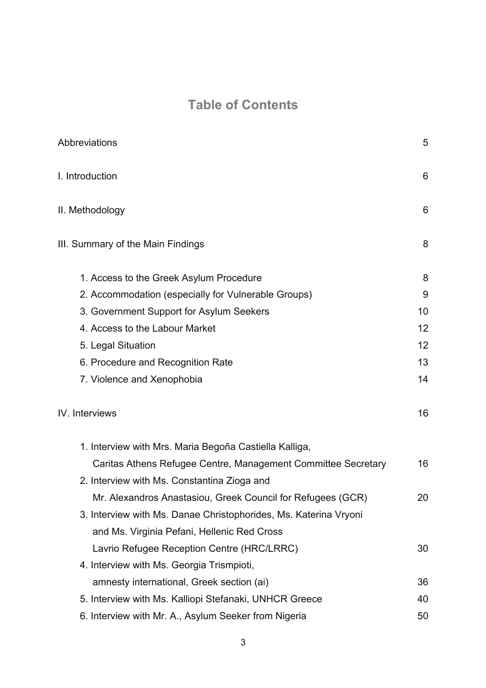# **Table of Contents**

| Abbreviations                                                    | 5  |
|------------------------------------------------------------------|----|
| I. Introduction                                                  | 6  |
| II. Methodology                                                  | 6  |
| III. Summary of the Main Findings                                | 8  |
| 1. Access to the Greek Asylum Procedure                          | 8  |
| 2. Accommodation (especially for Vulnerable Groups)              | 9  |
| 3. Government Support for Asylum Seekers                         | 10 |
| 4. Access to the Labour Market                                   | 12 |
| 5. Legal Situation                                               | 12 |
| 6. Procedure and Recognition Rate                                | 13 |
| 7. Violence and Xenophobia                                       | 14 |
| IV. Interviews                                                   | 16 |
| 1. Interview with Mrs. Maria Begoña Castiella Kalliga,           |    |
| Caritas Athens Refugee Centre, Management Committee Secretary    | 16 |
| 2. Interview with Ms. Constantina Zioga and                      |    |
| Mr. Alexandros Anastasiou, Greek Council for Refugees (GCR)      | 20 |
| 3. Interview with Ms. Danae Christophorides, Ms. Katerina Vryoni |    |
| and Ms. Virginia Pefani, Hellenic Red Cross                      |    |
| Lavrio Refugee Reception Centre (HRC/LRRC)                       | 30 |
| 4. Interview with Ms. Georgia Trismpioti,                        |    |
| amnesty international, Greek section (ai)                        | 36 |
| 5. Interview with Ms. Kalliopi Stefanaki, UNHCR Greece           | 40 |
| 6. Interview with Mr. A., Asylum Seeker from Nigeria             | 50 |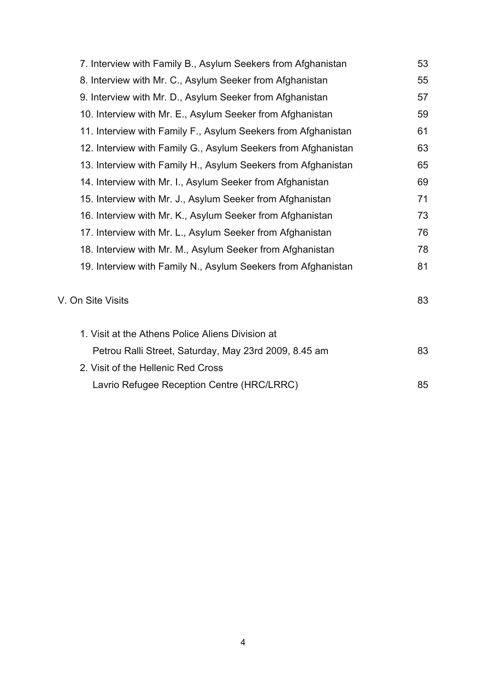| 7. Interview with Family B., Asylum Seekers from Afghanistan  | 53 |
|---------------------------------------------------------------|----|
| 8. Interview with Mr. C., Asylum Seeker from Afghanistan      | 55 |
| 9. Interview with Mr. D., Asylum Seeker from Afghanistan      | 57 |
| 10. Interview with Mr. E., Asylum Seeker from Afghanistan     | 59 |
| 11. Interview with Family F., Asylum Seekers from Afghanistan | 61 |
| 12. Interview with Family G., Asylum Seekers from Afghanistan | 63 |
| 13. Interview with Family H., Asylum Seekers from Afghanistan | 65 |
| 14. Interview with Mr. I., Asylum Seeker from Afghanistan     | 69 |
| 15. Interview with Mr. J., Asylum Seeker from Afghanistan     | 71 |
| 16. Interview with Mr. K., Asylum Seeker from Afghanistan     | 73 |
| 17. Interview with Mr. L., Asylum Seeker from Afghanistan     | 76 |
| 18. Interview with Mr. M., Asylum Seeker from Afghanistan     | 78 |
| 19. Interview with Family N., Asylum Seekers from Afghanistan | 81 |
|                                                               |    |
| V. On Site Visits                                             | 83 |
|                                                               |    |
| 1. Visit at the Athens Police Aliens Division at              |    |
| Petrou Ralli Street, Saturday, May 23rd 2009, 8.45 am         | 83 |
| 2. Visit of the Hellenic Red Cross                            |    |
| Lavrio Refugee Reception Centre (HRC/LRRC)                    | 85 |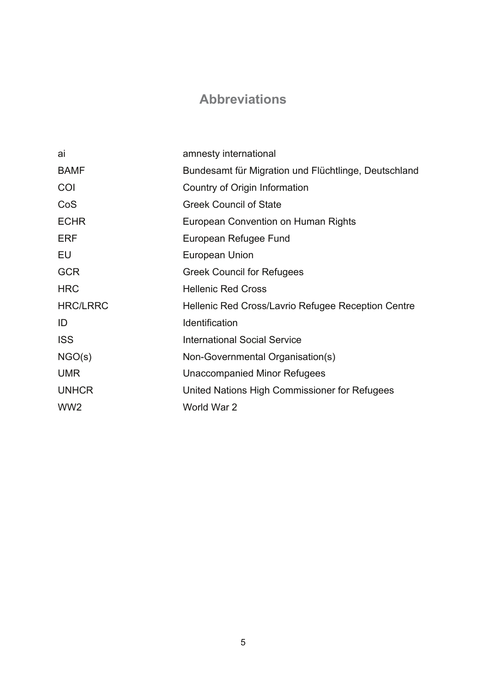## **Abbreviations**

| ai              | amnesty international                                |
|-----------------|------------------------------------------------------|
| <b>BAMF</b>     | Bundesamt für Migration und Flüchtlinge, Deutschland |
| COI             | Country of Origin Information                        |
| CoS             | <b>Greek Council of State</b>                        |
| <b>ECHR</b>     | European Convention on Human Rights                  |
| <b>ERF</b>      | European Refugee Fund                                |
| EU              | European Union                                       |
| <b>GCR</b>      | <b>Greek Council for Refugees</b>                    |
| <b>HRC</b>      | <b>Hellenic Red Cross</b>                            |
| <b>HRC/LRRC</b> | Hellenic Red Cross/Lavrio Refugee Reception Centre   |
| ID              | Identification                                       |
| <b>ISS</b>      | <b>International Social Service</b>                  |
| NGO(s)          | Non-Governmental Organisation(s)                     |
| <b>UMR</b>      | Unaccompanied Minor Refugees                         |
| <b>UNHCR</b>    | United Nations High Commissioner for Refugees        |
| WW <sub>2</sub> | World War 2                                          |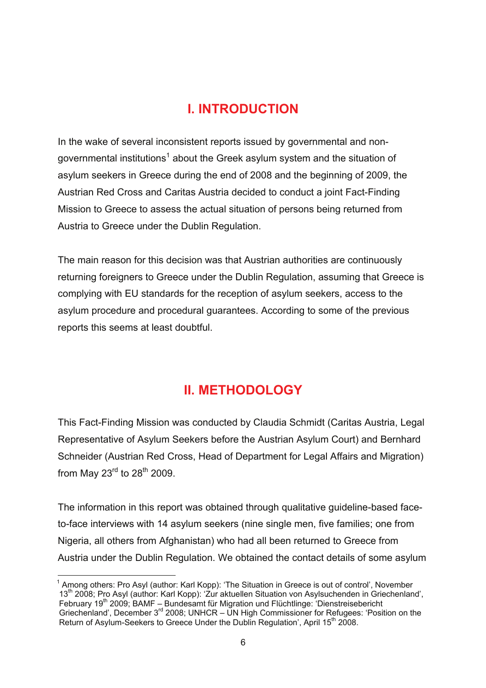## **I. INTRODUCTION**

In the wake of several inconsistent reports issued by governmental and nongovernmental institutions<sup>1</sup> about the Greek asylum system and the situation of asylum seekers in Greece during the end of 2008 and the beginning of 2009, the Austrian Red Cross and Caritas Austria decided to conduct a joint Fact-Finding Mission to Greece to assess the actual situation of persons being returned from Austria to Greece under the Dublin Regulation.

The main reason for this decision was that Austrian authorities are continuously returning foreigners to Greece under the Dublin Regulation, assuming that Greece is complying with EU standards for the reception of asylum seekers, access to the asylum procedure and procedural guarantees. According to some of the previous reports this seems at least doubtful.

## **II. METHODOLOGY**

This Fact-Finding Mission was conducted by Claudia Schmidt (Caritas Austria, Legal Representative of Asylum Seekers before the Austrian Asylum Court) and Bernhard Schneider (Austrian Red Cross, Head of Department for Legal Affairs and Migration) from May  $23^{\text{rd}}$  to  $28^{\text{th}}$  2009.

The information in this report was obtained through qualitative guideline-based faceto-face interviews with 14 asylum seekers (nine single men, five families; one from Nigeria, all others from Afghanistan) who had all been returned to Greece from Austria under the Dublin Regulation. We obtained the contact details of some asylum

<sup>&</sup>lt;sup>1</sup> Among others: Pro Asyl (author: Karl Kopp): 'The Situation in Greece is out of control', November 13th 2008; Pro Asyl (author: Karl Kopp): 'Zur aktuellen Situation von Asylsuchenden in Griechenland', February 19<sup>th</sup> 2009; BAMF – Bundesamt für Migration und Flüchtlinge: 'Dienstreisebericht Griechenland', December 3rd 2008; UNHCR – UN High Commissioner for Refugees: 'Position on the Return of Asylum-Seekers to Greece Under the Dublin Regulation', April 15<sup>th</sup> 2008.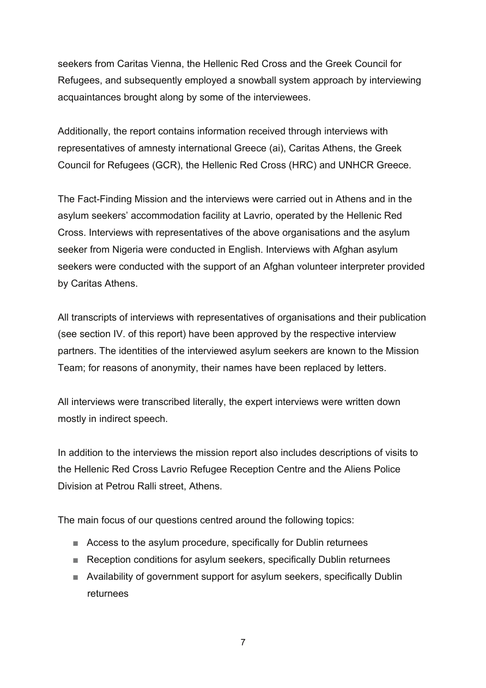seekers from Caritas Vienna, the Hellenic Red Cross and the Greek Council for Refugees, and subsequently employed a snowball system approach by interviewing acquaintances brought along by some of the interviewees.

Additionally, the report contains information received through interviews with representatives of amnesty international Greece (ai), Caritas Athens, the Greek Council for Refugees (GCR), the Hellenic Red Cross (HRC) and UNHCR Greece.

The Fact-Finding Mission and the interviews were carried out in Athens and in the asylum seekers' accommodation facility at Lavrio, operated by the Hellenic Red Cross. Interviews with representatives of the above organisations and the asylum seeker from Nigeria were conducted in English. Interviews with Afghan asylum seekers were conducted with the support of an Afghan volunteer interpreter provided by Caritas Athens.

All transcripts of interviews with representatives of organisations and their publication (see section IV. of this report) have been approved by the respective interview partners. The identities of the interviewed asylum seekers are known to the Mission Team; for reasons of anonymity, their names have been replaced by letters.

All interviews were transcribed literally, the expert interviews were written down mostly in indirect speech.

In addition to the interviews the mission report also includes descriptions of visits to the Hellenic Red Cross Lavrio Refugee Reception Centre and the Aliens Police Division at Petrou Ralli street, Athens.

The main focus of our questions centred around the following topics:

- Access to the asylum procedure, specifically for Dublin returnees
- Reception conditions for asylum seekers, specifically Dublin returnees
- Availability of government support for asylum seekers, specifically Dublin returnees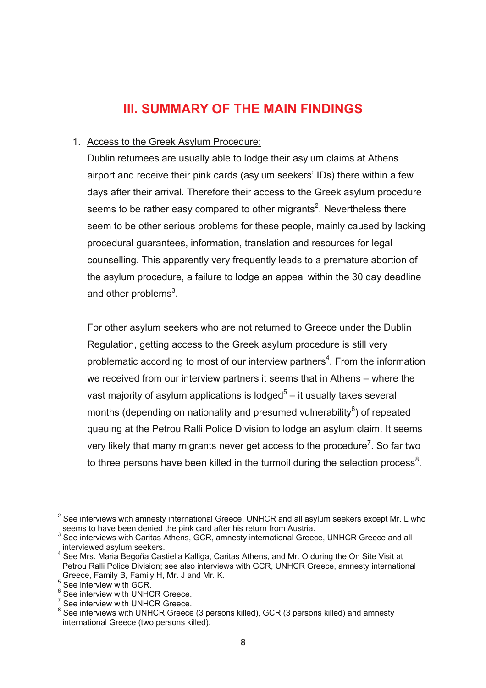### **III. SUMMARY OF THE MAIN FINDINGS**

#### 1. Access to the Greek Asylum Procedure:

Dublin returnees are usually able to lodge their asylum claims at Athens airport and receive their pink cards (asylum seekers' IDs) there within a few days after their arrival. Therefore their access to the Greek asylum procedure seems to be rather easy compared to other migrants<sup>2</sup>. Nevertheless there seem to be other serious problems for these people, mainly caused by lacking procedural guarantees, information, translation and resources for legal counselling. This apparently very frequently leads to a premature abortion of the asylum procedure, a failure to lodge an appeal within the 30 day deadline and other problems<sup>3</sup>.

For other asylum seekers who are not returned to Greece under the Dublin Regulation, getting access to the Greek asylum procedure is still very problematic according to most of our interview partners<sup>4</sup>. From the information we received from our interview partners it seems that in Athens – where the vast majority of asylum applications is lodged<sup>5</sup> – it usually takes several months (depending on nationality and presumed vulnerability $6$ ) of repeated queuing at the Petrou Ralli Police Division to lodge an asylum claim. It seems very likely that many migrants never get access to the procedure<sup>7</sup>. So far two to three persons have been killed in the turmoil during the selection process<sup>8</sup>.

 $2$  See interviews with amnesty international Greece, UNHCR and all asylum seekers except Mr. L who seems to have been denied the pink card after his return from Austria.

<sup>&</sup>lt;sup>3</sup> See interviews with Caritas Athens, GCR, amnesty international Greece, UNHCR Greece and all interviewed asylum seekers.

<sup>&</sup>lt;sup>4</sup> See Mrs. Maria Begoña Castiella Kalliga, Caritas Athens, and Mr. O during the On Site Visit at Petrou Ralli Police Division; see also interviews with GCR, UNHCR Greece, amnesty international Greece, Family B, Family H, Mr. J and Mr. K.

<sup>5</sup> See interview with GCR.

<sup>&</sup>lt;sup>6</sup> See interview with UNHCR Greece.

 $7$  See interview with UNHCR Greece.

 $8$  See interviews with UNHCR Greece (3 persons killed), GCR (3 persons killed) and amnesty international Greece (two persons killed).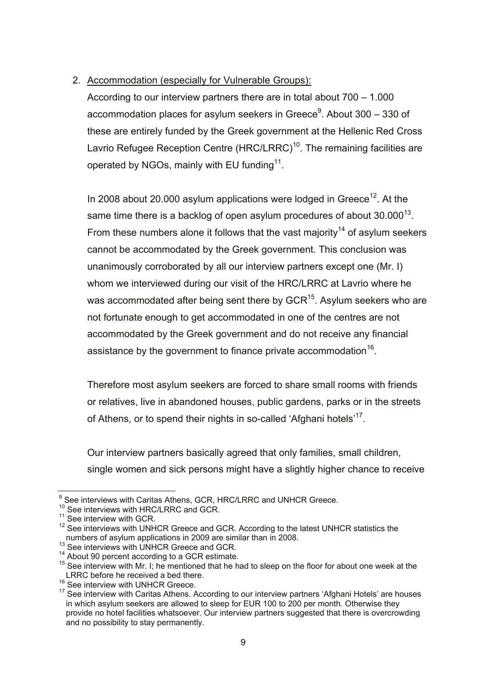#### 2. Accommodation (especially for Vulnerable Groups):

According to our interview partners there are in total about 700 – 1.000 accommodation places for asylum seekers in Greece<sup>9</sup>. About 300 – 330 of these are entirely funded by the Greek government at the Hellenic Red Cross Lavrio Refugee Reception Centre (HRC/LRRC)<sup>10</sup>. The remaining facilities are operated by NGOs, mainly with EU funding<sup>11</sup>.

In 2008 about 20.000 asylum applications were lodged in Greece<sup>12</sup>. At the same time there is a backlog of open asylum procedures of about  $30.000^{13}$ . From these numbers alone it follows that the vast majority<sup>14</sup> of asylum seekers cannot be accommodated by the Greek government. This conclusion was unanimously corroborated by all our interview partners except one (Mr. I) whom we interviewed during our visit of the HRC/LRRC at Lavrio where he was accommodated after being sent there by GCR<sup>15</sup>. Asylum seekers who are not fortunate enough to get accommodated in one of the centres are not accommodated by the Greek government and do not receive any financial assistance by the government to finance private accommodation<sup>16</sup>.

Therefore most asylum seekers are forced to share small rooms with friends or relatives, live in abandoned houses, public gardens, parks or in the streets of Athens, or to spend their nights in so-called 'Afghani hotels'<sup>17</sup>.

Our interview partners basically agreed that only families, small children, single women and sick persons might have a slightly higher chance to receive

 9 See interviews with Caritas Athens, GCR, HRC/LRRC and UNHCR Greece.

<sup>&</sup>lt;sup>10</sup> See interviews with HRC/LRRC and GCR.

<sup>&</sup>lt;sup>11</sup> See interview with GCR.

<sup>&</sup>lt;sup>12</sup> See interview with UNHCR Greece and GCR. According to the latest UNHCR statistics the numbers of asylum applications in 2009 are similar than in 2008.<br><sup>13</sup> See interviews with UNHCR Greece and GCR.<br><sup>14</sup> About 90 percent according to a GCR estimate.

 $15$  See interview with Mr. I; he mentioned that he had to sleep on the floor for about one week at the LRRC before he received a bed there.

<sup>&</sup>lt;sup>16</sup> See interview with UNHCR Greece.

 $17$  See interview with Caritas Athens. According to our interview partners 'Afghani Hotels' are houses in which asylum seekers are allowed to sleep for EUR 100 to 200 per month. Otherwise they provide no hotel facilities whatsoever. Our interview partners suggested that there is overcrowding and no possibility to stay permanently.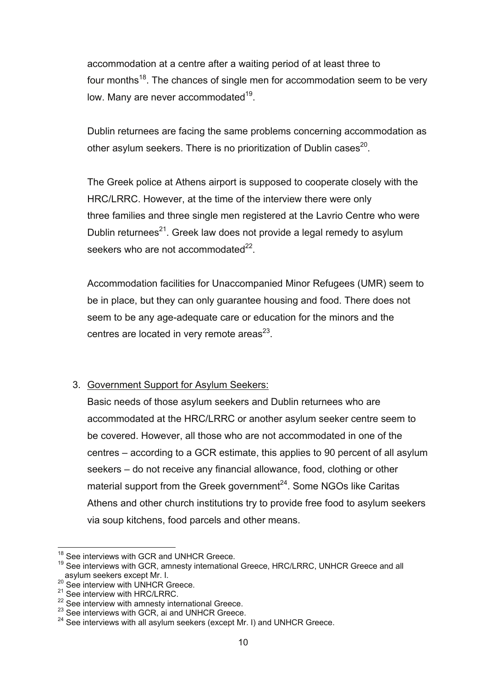accommodation at a centre after a waiting period of at least three to four months $^{18}$ . The chances of single men for accommodation seem to be very low. Many are never accommodated<sup>19</sup>.

Dublin returnees are facing the same problems concerning accommodation as other asylum seekers. There is no prioritization of Dublin cases<sup>20</sup>.

The Greek police at Athens airport is supposed to cooperate closely with the HRC/LRRC. However, at the time of the interview there were only three families and three single men registered at the Lavrio Centre who were Dublin returnees<sup>21</sup>. Greek law does not provide a legal remedy to asylum seekers who are not accommodated<sup>22</sup>.

Accommodation facilities for Unaccompanied Minor Refugees (UMR) seem to be in place, but they can only guarantee housing and food. There does not seem to be any age-adequate care or education for the minors and the centres are located in very remote areas $^{23}$ .

#### 3. Government Support for Asylum Seekers:

Basic needs of those asylum seekers and Dublin returnees who are accommodated at the HRC/LRRC or another asylum seeker centre seem to be covered. However, all those who are not accommodated in one of the centres – according to a GCR estimate, this applies to 90 percent of all asylum seekers – do not receive any financial allowance, food, clothing or other material support from the Greek government $^{24}$ . Some NGOs like Caritas Athens and other church institutions try to provide free food to asylum seekers via soup kitchens, food parcels and other means.

<sup>1</sup> <sup>18</sup> See interviews with GCR and UNHCR Greece.

<sup>&</sup>lt;sup>19</sup> See interviews with GCR, amnesty international Greece, HRC/LRRC, UNHCR Greece and all asylum seekers except Mr. I.<br><sup>20</sup> See interview with UNHCR Greece.

 $21$  See interview with HRC/LRRC.<br> $22$  See interview with amnesty international Greece.

 $23$  See interviews with GCR, ai and UNHCR Greece.

 $24$  See interviews with all asylum seekers (except Mr. I) and UNHCR Greece.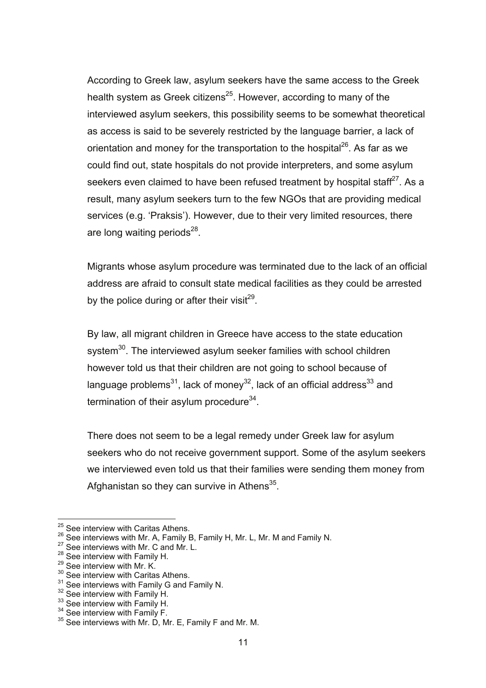According to Greek law, asylum seekers have the same access to the Greek health system as Greek citizens<sup>25</sup>. However, according to many of the interviewed asylum seekers, this possibility seems to be somewhat theoretical as access is said to be severely restricted by the language barrier, a lack of orientation and money for the transportation to the hospital<sup>26</sup>. As far as we could find out, state hospitals do not provide interpreters, and some asylum seekers even claimed to have been refused treatment by hospital staff<sup>27</sup>. As a result, many asylum seekers turn to the few NGOs that are providing medical services (e.g. 'Praksis'). However, due to their very limited resources, there are long waiting periods $^{28}$ .

Migrants whose asylum procedure was terminated due to the lack of an official address are afraid to consult state medical facilities as they could be arrested by the police during or after their visit<sup>29</sup>.

By law, all migrant children in Greece have access to the state education system<sup>30</sup>. The interviewed asylum seeker families with school children however told us that their children are not going to school because of language problems<sup>31</sup>, lack of money<sup>32</sup>, lack of an official address<sup>33</sup> and termination of their asylum procedure $34$ .

There does not seem to be a legal remedy under Greek law for asylum seekers who do not receive government support. Some of the asylum seekers we interviewed even told us that their families were sending them money from Afghanistan so they can survive in Athens $35$ .

<sup>&</sup>lt;sup>25</sup> See interview with Caritas Athens.

<sup>&</sup>lt;sup>26</sup> See interviews with Mr. A, Family B, Family H, Mr. L, Mr. M and Family N.  $^{27}$  See interviews with Mr. C and Mr. L.

<sup>&</sup>lt;sup>28</sup> See interview with Family H.<br><sup>29</sup> See interview with Mr. K.

 $30^{30}$  See interview with Caritas Athens.<br> $31$  See interviews with Family G and Family N.

<sup>&</sup>lt;sup>32</sup> See interview with Family H.<br><sup>33</sup> See interview with Family H.<br><sup>34</sup> See interview with Family F.<br><sup>35</sup> See interviews with Mr. D, Mr. E, Family F and Mr. M.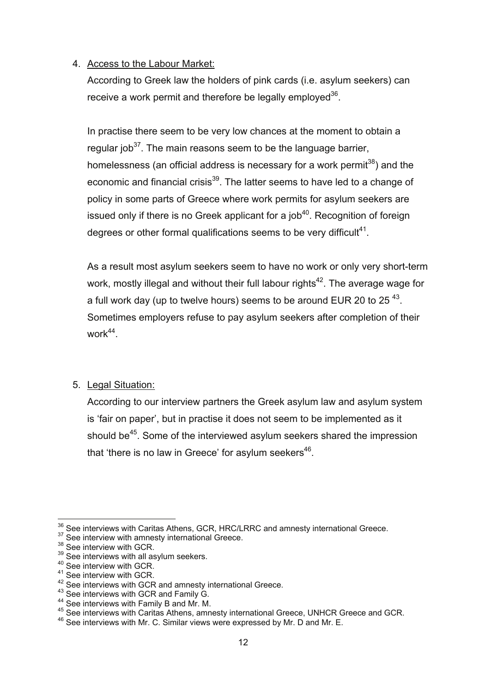#### 4. Access to the Labour Market:

According to Greek law the holders of pink cards (i.e. asylum seekers) can receive a work permit and therefore be legally employed<sup>36</sup>.

In practise there seem to be very low chances at the moment to obtain a regular  $i$ ob<sup>37</sup>. The main reasons seem to be the language barrier, homelessness (an official address is necessary for a work permit<sup>38</sup>) and the economic and financial crisis<sup>39</sup>. The latter seems to have led to a change of policy in some parts of Greece where work permits for asylum seekers are issued only if there is no Greek applicant for a  $job<sup>40</sup>$ . Recognition of foreign degrees or other formal qualifications seems to be very difficult<sup>41</sup>.

As a result most asylum seekers seem to have no work or only very short-term work, mostly illegal and without their full labour rights<sup>42</sup>. The average wage for a full work day (up to twelve hours) seems to be around EUR 20 to 25 $43$ . Sometimes employers refuse to pay asylum seekers after completion of their work $44$ .

#### 5. Legal Situation:

According to our interview partners the Greek asylum law and asylum system is 'fair on paper', but in practise it does not seem to be implemented as it should be<sup>45</sup>. Some of the interviewed asylum seekers shared the impression that 'there is no law in Greece' for asylum seekers $46$ .

<sup>1</sup> <sup>36</sup> See interviews with Caritas Athens, GCR, HRC/LRRC and amnesty international Greece.<br><sup>37</sup> See interview with amnesty international Greece.<br><sup>38</sup> See interview with GCR.

 $38$  See interview with GCR.<br> $39$  See interviews with all asylum seekers.<br> $40$  See interview with GCR.

 $41$  See interview with GCR.<br> $42$  See interviews with GCR and amnesty international Greece.

<sup>&</sup>lt;sup>43</sup> See interviews with GCR and Family G.<br><sup>44</sup> See interviews with Family B and Mr. M.<br><sup>45</sup> See interviews with Caritas Athens, amnesty international Greece, UNHCR Greece and GCR.

<sup>&</sup>lt;sup>46</sup> See interviews with Mr. C. Similar views were expressed by Mr. D and Mr. E.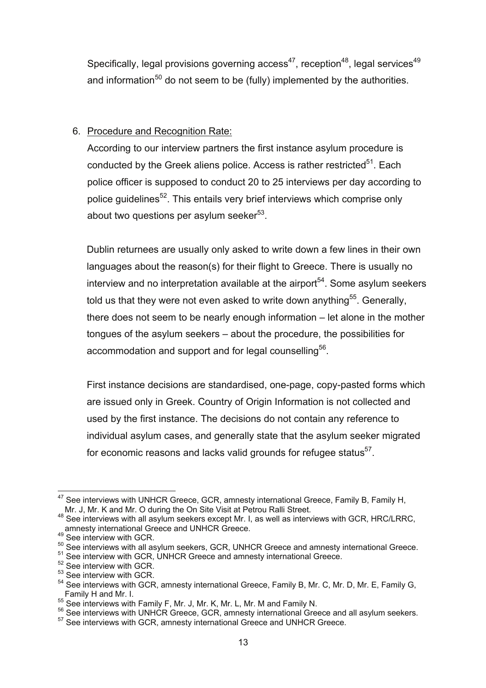Specifically, legal provisions governing  $access^{47}$ , reception<sup>48</sup>, legal services<sup>49</sup> and information<sup>50</sup> do not seem to be (fully) implemented by the authorities.

#### 6. Procedure and Recognition Rate:

According to our interview partners the first instance asylum procedure is conducted by the Greek aliens police. Access is rather restricted<sup>51</sup>. Each police officer is supposed to conduct 20 to 25 interviews per day according to police quidelines<sup>52</sup>. This entails very brief interviews which comprise only about two questions per asylum seeker $53$ .

Dublin returnees are usually only asked to write down a few lines in their own languages about the reason(s) for their flight to Greece. There is usually no interview and no interpretation available at the airport<sup>54</sup>. Some asylum seekers told us that they were not even asked to write down anything<sup>55</sup>. Generally, there does not seem to be nearly enough information – let alone in the mother tongues of the asylum seekers – about the procedure, the possibilities for accommodation and support and for legal counselling<sup>56</sup>.

First instance decisions are standardised, one-page, copy-pasted forms which are issued only in Greek. Country of Origin Information is not collected and used by the first instance. The decisions do not contain any reference to individual asylum cases, and generally state that the asylum seeker migrated for economic reasons and lacks valid grounds for refugee status $57$ .

<sup>1</sup>  $47$  See interviews with UNHCR Greece, GCR, amnesty international Greece, Family B, Family H,

Mr. J, Mr. K and Mr. O during the On Site Visit at Petrou Ralli Street.<br><sup>48</sup> See interviews with all asylum seekers except Mr. I, as well as interviews with GCR, HRC/LRRC, amnesty international Greece and UNHCR Greece.<br>
<sup>49</sup> See interview with GCR.

 $50$  See interviews with all asylum seekers, GCR, UNHCR Greece and amnesty international Greece.<br>  $51$  See interview with GCR, UNHCR Greece and amnesty international Greece.<br>  $52$  See interview with GCR.

<sup>53</sup> See interview with GCR.

<sup>54</sup> See interviews with GCR, amnesty international Greece, Family B, Mr. C, Mr. D, Mr. E, Family G, Family H and Mr. I.<br>
<sup>55</sup> See interviews with Family F, Mr. J, Mr. K, Mr. L, Mr. M and Family N.<br>
<sup>56</sup> See interviews with UNHCR Greece, GCR, amnesty international Greece and all asylum seekers.<br>
<sup>57</sup> See interviews with G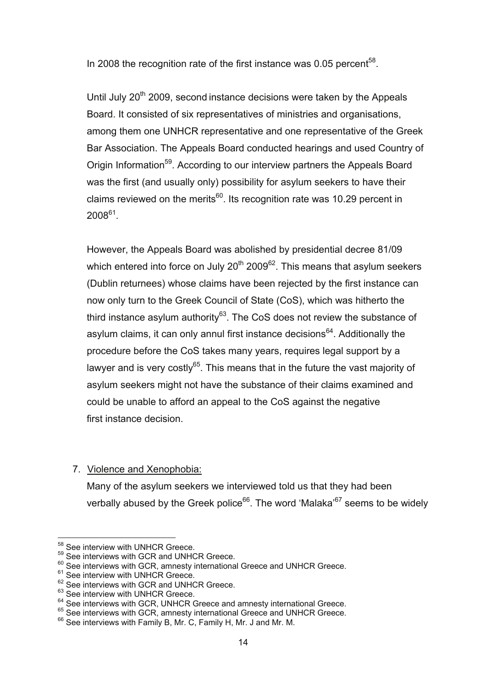In 2008 the recognition rate of the first instance was 0.05 percent<sup>58</sup>.

Until July 20<sup>th</sup> 2009, second instance decisions were taken by the Appeals Board. It consisted of six representatives of ministries and organisations, among them one UNHCR representative and one representative of the Greek Bar Association. The Appeals Board conducted hearings and used Country of Origin Information<sup>59</sup>. According to our interview partners the Appeals Board was the first (and usually only) possibility for asylum seekers to have their claims reviewed on the merits $60$ . Its recognition rate was 10.29 percent in  $2008^{61}$ 

However, the Appeals Board was abolished by presidential decree 81/09 which entered into force on July  $20^{th}$  2009<sup>62</sup>. This means that asylum seekers (Dublin returnees) whose claims have been rejected by the first instance can now only turn to the Greek Council of State (CoS), which was hitherto the third instance asylum authority $^{63}$ . The CoS does not review the substance of asylum claims, it can only annul first instance decisions<sup>64</sup>. Additionally the procedure before the CoS takes many years, requires legal support by a lawyer and is very costly $65$ . This means that in the future the vast majority of asylum seekers might not have the substance of their claims examined and could be unable to afford an appeal to the CoS against the negative first instance decision.

7. Violence and Xenophobia:

Many of the asylum seekers we interviewed told us that they had been verbally abused by the Greek police<sup>66</sup>. The word 'Malaka'<sup>67</sup> seems to be widely

<sup>1</sup> <sup>58</sup> See interview with UNHCR Greece.

<sup>59</sup> See interviews with GCR and UNHCR Greece.

 $60$  See interviews with GCR, amnesty international Greece and UNHCR Greece.

<sup>&</sup>lt;sup>61</sup> See interview with UNHCR Greece.

<sup>&</sup>lt;sup>62</sup> See interviews with GCR and UNHCR Greece.

 $63$  See interview with UNHCR Greece.<br> $64$  See interviews with GCR. UNHCR Greece and amnesty international Greece.

<sup>&</sup>lt;sup>65</sup> See interviews with GCR, amnesty international Greece and UNHCR Greece.

 $66$  See interviews with Family B, Mr. C, Family H, Mr. J and Mr. M.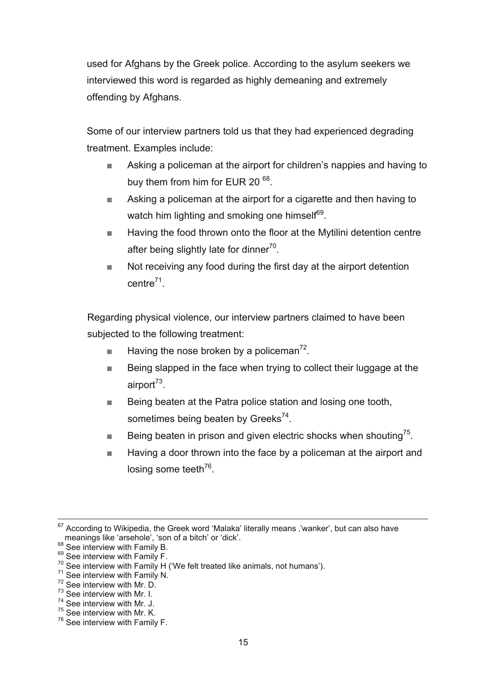used for Afghans by the Greek police. According to the asylum seekers we interviewed this word is regarded as highly demeaning and extremely offending by Afghans.

Some of our interview partners told us that they had experienced degrading treatment. Examples include:

- Asking a policeman at the airport for children's nappies and having to buy them from him for EUR 20<sup>68</sup>.
- Asking a policeman at the airport for a cigarette and then having to watch him lighting and smoking one himself<sup>69</sup>.
- Having the food thrown onto the floor at the Mytilini detention centre after being slightly late for dinner<sup>70</sup>.
- Not receiving any food during the first day at the airport detention  $centre<sup>71</sup>$ .

Regarding physical violence, our interview partners claimed to have been subjected to the following treatment:

- Having the nose broken by a policeman<sup>72</sup>.
- Being slapped in the face when trying to collect their luggage at the airport $73$ .
- Being beaten at the Patra police station and losing one tooth, sometimes being beaten by Greeks<sup>74</sup>.
- **Being beaten in prison and given electric shocks when shouting**<sup>75</sup>.
- Having a door thrown into the face by a policeman at the airport and losing some teeth $^{76}$ .

- 
- <sup>73</sup> See interview with Mr. I.
- <sup>74</sup> See interview with Mr. J.
- <sup>75</sup> See interview with Mr. K.

 $67$  According to Wikipedia, the Greek word 'Malaka' literally means ,'wanker', but can also have meanings like 'arsehole', 'son of a bitch' or 'dick'.<br>
<sup>68</sup> See interview with Family B.<br>
<sup>69</sup> See interview with Family F.<br>
<sup>70</sup> See interview with Family H ('We felt treated like animals, not humans').<br>
<sup>71</sup> See intervi

<sup>&</sup>lt;sup>76</sup> See interview with Family F.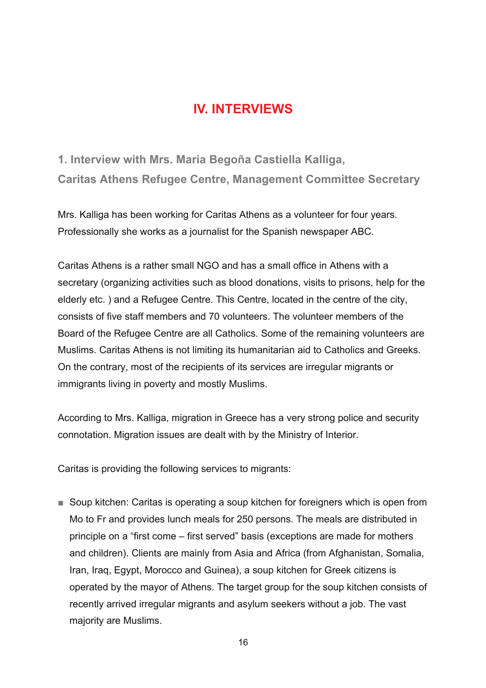## **IV. INTERVIEWS**

**1. Interview with Mrs. Maria Begoña Castiella Kalliga, Caritas Athens Refugee Centre, Management Committee Secretary** 

Mrs. Kalliga has been working for Caritas Athens as a volunteer for four years. Professionally she works as a journalist for the Spanish newspaper ABC.

Caritas Athens is a rather small NGO and has a small office in Athens with a secretary (organizing activities such as blood donations, visits to prisons, help for the elderly etc. ) and a Refugee Centre. This Centre, located in the centre of the city, consists of five staff members and 70 volunteers. The volunteer members of the Board of the Refugee Centre are all Catholics. Some of the remaining volunteers are Muslims. Caritas Athens is not limiting its humanitarian aid to Catholics and Greeks. On the contrary, most of the recipients of its services are irregular migrants or immigrants living in poverty and mostly Muslims.

According to Mrs. Kalliga, migration in Greece has a very strong police and security connotation. Migration issues are dealt with by the Ministry of Interior.

Caritas is providing the following services to migrants:

■ Soup kitchen: Caritas is operating a soup kitchen for foreigners which is open from Mo to Fr and provides lunch meals for 250 persons. The meals are distributed in principle on a "first come – first served" basis (exceptions are made for mothers and children). Clients are mainly from Asia and Africa (from Afghanistan, Somalia, Iran, Iraq, Egypt, Morocco and Guinea), a soup kitchen for Greek citizens is operated by the mayor of Athens. The target group for the soup kitchen consists of recently arrived irregular migrants and asylum seekers without a job. The vast majority are Muslims.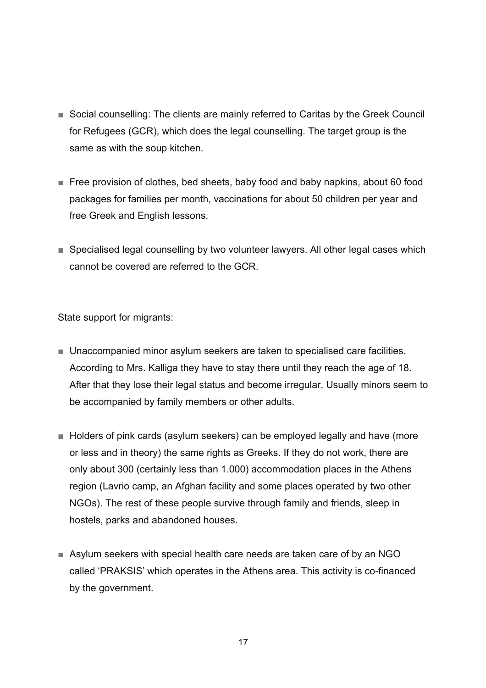- Social counselling: The clients are mainly referred to Caritas by the Greek Council for Refugees (GCR), which does the legal counselling. The target group is the same as with the soup kitchen.
- Free provision of clothes, bed sheets, baby food and baby napkins, about 60 food packages for families per month, vaccinations for about 50 children per year and free Greek and English lessons.
- Specialised legal counselling by two volunteer lawyers. All other legal cases which cannot be covered are referred to the GCR.

State support for migrants:

- Unaccompanied minor asylum seekers are taken to specialised care facilities. According to Mrs. Kalliga they have to stay there until they reach the age of 18. After that they lose their legal status and become irregular. Usually minors seem to be accompanied by family members or other adults.
- Holders of pink cards (asylum seekers) can be employed legally and have (more or less and in theory) the same rights as Greeks. If they do not work, there are only about 300 (certainly less than 1.000) accommodation places in the Athens region (Lavrio camp, an Afghan facility and some places operated by two other NGOs). The rest of these people survive through family and friends, sleep in hostels, parks and abandoned houses.
- Asylum seekers with special health care needs are taken care of by an NGO called 'PRAKSIS' which operates in the Athens area. This activity is co-financed by the government.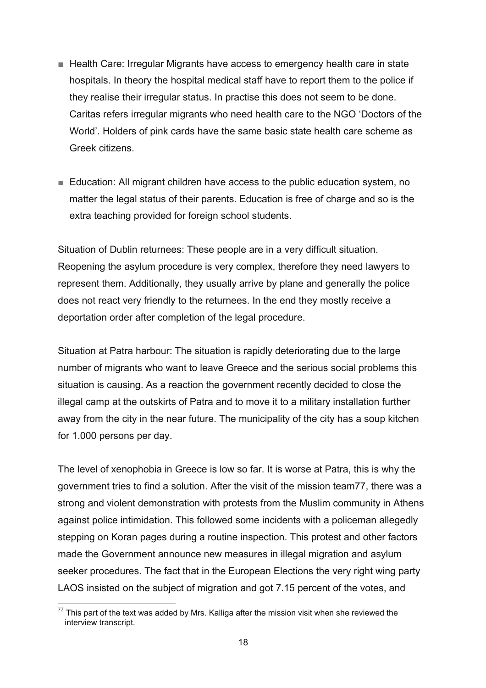- Health Care: Irregular Migrants have access to emergency health care in state hospitals. In theory the hospital medical staff have to report them to the police if they realise their irregular status. In practise this does not seem to be done. Caritas refers irregular migrants who need health care to the NGO 'Doctors of the World'. Holders of pink cards have the same basic state health care scheme as Greek citizens.
- Education: All migrant children have access to the public education system, no matter the legal status of their parents. Education is free of charge and so is the extra teaching provided for foreign school students.

Situation of Dublin returnees: These people are in a very difficult situation. Reopening the asylum procedure is very complex, therefore they need lawyers to represent them. Additionally, they usually arrive by plane and generally the police does not react very friendly to the returnees. In the end they mostly receive a deportation order after completion of the legal procedure.

Situation at Patra harbour: The situation is rapidly deteriorating due to the large number of migrants who want to leave Greece and the serious social problems this situation is causing. As a reaction the government recently decided to close the illegal camp at the outskirts of Patra and to move it to a military installation further away from the city in the near future. The municipality of the city has a soup kitchen for 1.000 persons per day.

The level of xenophobia in Greece is low so far. It is worse at Patra, this is why the government tries to find a solution. After the visit of the mission team77, there was a strong and violent demonstration with protests from the Muslim community in Athens against police intimidation. This followed some incidents with a policeman allegedly stepping on Koran pages during a routine inspection. This protest and other factors made the Government announce new measures in illegal migration and asylum seeker procedures. The fact that in the European Elections the very right wing party LAOS insisted on the subject of migration and got 7.15 percent of the votes, and

<sup>1</sup>  $77$  This part of the text was added by Mrs. Kalliga after the mission visit when she reviewed the interview transcript.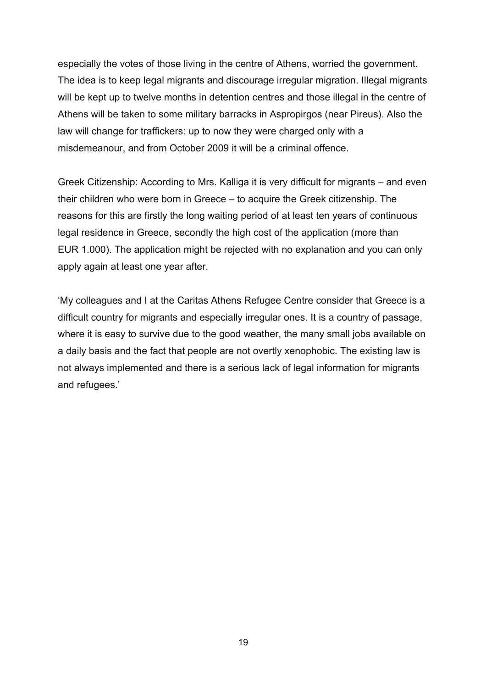especially the votes of those living in the centre of Athens, worried the government. The idea is to keep legal migrants and discourage irregular migration. Illegal migrants will be kept up to twelve months in detention centres and those illegal in the centre of Athens will be taken to some military barracks in Aspropirgos (near Pireus). Also the law will change for traffickers: up to now they were charged only with a misdemeanour, and from October 2009 it will be a criminal offence.

Greek Citizenship: According to Mrs. Kalliga it is very difficult for migrants – and even their children who were born in Greece – to acquire the Greek citizenship. The reasons for this are firstly the long waiting period of at least ten years of continuous legal residence in Greece, secondly the high cost of the application (more than EUR 1.000). The application might be rejected with no explanation and you can only apply again at least one year after.

'My colleagues and I at the Caritas Athens Refugee Centre consider that Greece is a difficult country for migrants and especially irregular ones. It is a country of passage, where it is easy to survive due to the good weather, the many small jobs available on a daily basis and the fact that people are not overtly xenophobic. The existing law is not always implemented and there is a serious lack of legal information for migrants and refugees.'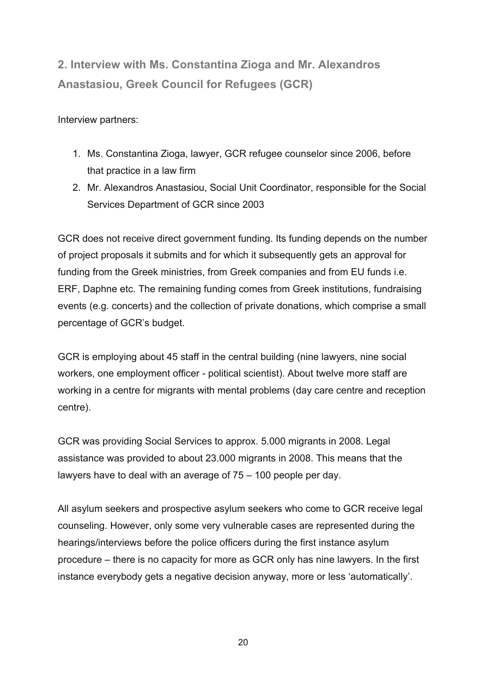**2. Interview with Ms. Constantina Zioga and Mr. Alexandros Anastasiou, Greek Council for Refugees (GCR)** 

Interview partners:

- 1. Ms. Constantina Zioga, lawyer, GCR refugee counselor since 2006, before that practice in a law firm
- 2. Mr. Alexandros Anastasiou, Social Unit Coordinator, responsible for the Social Services Department of GCR since 2003

GCR does not receive direct government funding. Its funding depends on the number of project proposals it submits and for which it subsequently gets an approval for funding from the Greek ministries, from Greek companies and from EU funds i.e. ERF, Daphne etc. The remaining funding comes from Greek institutions, fundraising events (e.g. concerts) and the collection of private donations, which comprise a small percentage of GCR's budget.

GCR is employing about 45 staff in the central building (nine lawyers, nine social workers, one employment officer - political scientist). About twelve more staff are working in a centre for migrants with mental problems (day care centre and reception centre).

GCR was providing Social Services to approx. 5.000 migrants in 2008. Legal assistance was provided to about 23.000 migrants in 2008. This means that the lawyers have to deal with an average of 75 – 100 people per day.

All asylum seekers and prospective asylum seekers who come to GCR receive legal counseling. However, only some very vulnerable cases are represented during the hearings/interviews before the police officers during the first instance asylum procedure – there is no capacity for more as GCR only has nine lawyers. In the first instance everybody gets a negative decision anyway, more or less 'automatically'.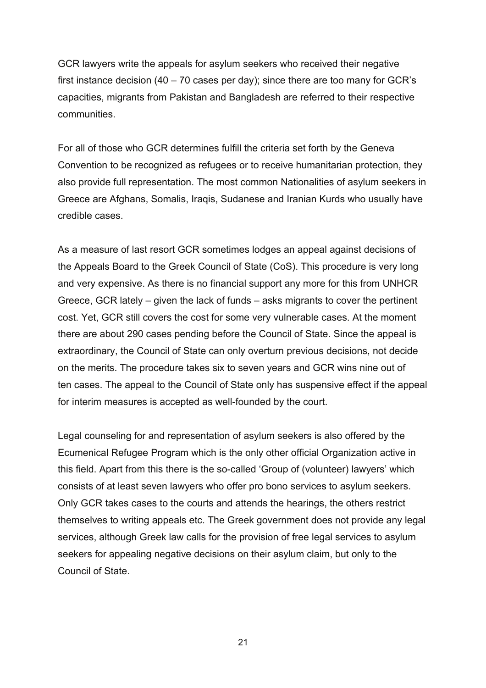GCR lawyers write the appeals for asylum seekers who received their negative first instance decision (40 – 70 cases per day); since there are too many for GCR's capacities, migrants from Pakistan and Bangladesh are referred to their respective communities.

For all of those who GCR determines fulfill the criteria set forth by the Geneva Convention to be recognized as refugees or to receive humanitarian protection, they also provide full representation. The most common Nationalities of asylum seekers in Greece are Afghans, Somalis, Iraqis, Sudanese and Iranian Kurds who usually have credible cases.

As a measure of last resort GCR sometimes lodges an appeal against decisions of the Appeals Board to the Greek Council of State (CoS). This procedure is very long and very expensive. As there is no financial support any more for this from UNHCR Greece, GCR lately – given the lack of funds – asks migrants to cover the pertinent cost. Yet, GCR still covers the cost for some very vulnerable cases. At the moment there are about 290 cases pending before the Council of State. Since the appeal is extraordinary, the Council of State can only overturn previous decisions, not decide on the merits. The procedure takes six to seven years and GCR wins nine out of ten cases. The appeal to the Council of State only has suspensive effect if the appeal for interim measures is accepted as well-founded by the court.

Legal counseling for and representation of asylum seekers is also offered by the Ecumenical Refugee Program which is the only other official Organization active in this field. Apart from this there is the so-called 'Group of (volunteer) lawyers' which consists of at least seven lawyers who offer pro bono services to asylum seekers. Only GCR takes cases to the courts and attends the hearings, the others restrict themselves to writing appeals etc. The Greek government does not provide any legal services, although Greek law calls for the provision of free legal services to asylum seekers for appealing negative decisions on their asylum claim, but only to the Council of State.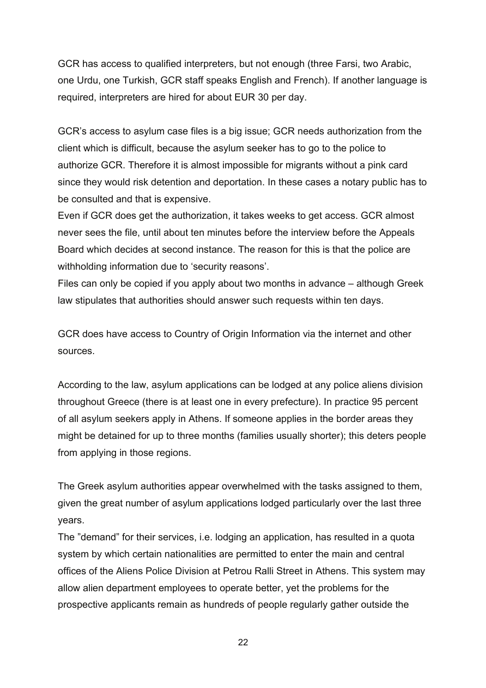GCR has access to qualified interpreters, but not enough (three Farsi, two Arabic, one Urdu, one Turkish, GCR staff speaks English and French). If another language is required, interpreters are hired for about EUR 30 per day.

GCR's access to asylum case files is a big issue; GCR needs authorization from the client which is difficult, because the asylum seeker has to go to the police to authorize GCR. Therefore it is almost impossible for migrants without a pink card since they would risk detention and deportation. In these cases a notary public has to be consulted and that is expensive.

Even if GCR does get the authorization, it takes weeks to get access. GCR almost never sees the file, until about ten minutes before the interview before the Appeals Board which decides at second instance. The reason for this is that the police are withholding information due to 'security reasons'.

Files can only be copied if you apply about two months in advance – although Greek law stipulates that authorities should answer such requests within ten days.

GCR does have access to Country of Origin Information via the internet and other sources.

According to the law, asylum applications can be lodged at any police aliens division throughout Greece (there is at least one in every prefecture). In practice 95 percent of all asylum seekers apply in Athens. If someone applies in the border areas they might be detained for up to three months (families usually shorter); this deters people from applying in those regions.

The Greek asylum authorities appear overwhelmed with the tasks assigned to them, given the great number of asylum applications lodged particularly over the last three years.

The "demand" for their services, i.e. lodging an application, has resulted in a quota system by which certain nationalities are permitted to enter the main and central offices of the Aliens Police Division at Petrou Ralli Street in Athens. This system may allow alien department employees to operate better, yet the problems for the prospective applicants remain as hundreds of people regularly gather outside the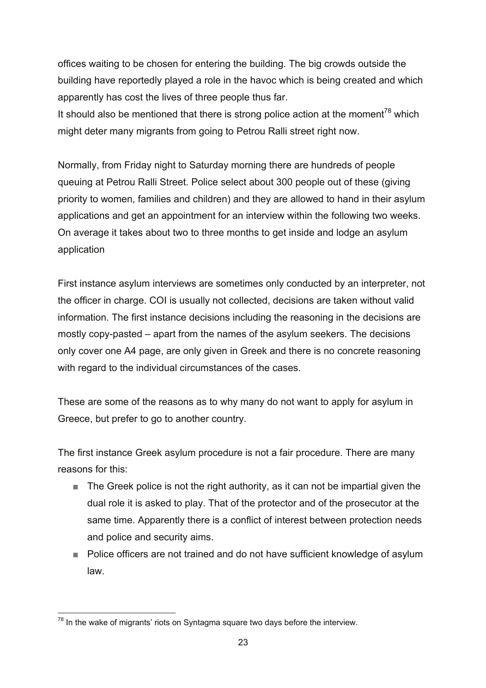offices waiting to be chosen for entering the building. The big crowds outside the building have reportedly played a role in the havoc which is being created and which apparently has cost the lives of three people thus far.

It should also be mentioned that there is strong police action at the moment<sup>78</sup> which might deter many migrants from going to Petrou Ralli street right now.

Normally, from Friday night to Saturday morning there are hundreds of people queuing at Petrou Ralli Street. Police select about 300 people out of these (giving priority to women, families and children) and they are allowed to hand in their asylum applications and get an appointment for an interview within the following two weeks. On average it takes about two to three months to get inside and lodge an asylum application

First instance asylum interviews are sometimes only conducted by an interpreter, not the officer in charge. COI is usually not collected, decisions are taken without valid information. The first instance decisions including the reasoning in the decisions are mostly copy-pasted – apart from the names of the asylum seekers. The decisions only cover one A4 page, are only given in Greek and there is no concrete reasoning with regard to the individual circumstances of the cases.

These are some of the reasons as to why many do not want to apply for asylum in Greece, but prefer to go to another country.

The first instance Greek asylum procedure is not a fair procedure. There are many reasons for this:

- The Greek police is not the right authority, as it can not be impartial given the dual role it is asked to play. That of the protector and of the prosecutor at the same time. Apparently there is a conflict of interest between protection needs and police and security aims.
- Police officers are not trained and do not have sufficient knowledge of asylum law.

<sup>1</sup>  $78$  In the wake of migrants' riots on Syntagma square two days before the interview.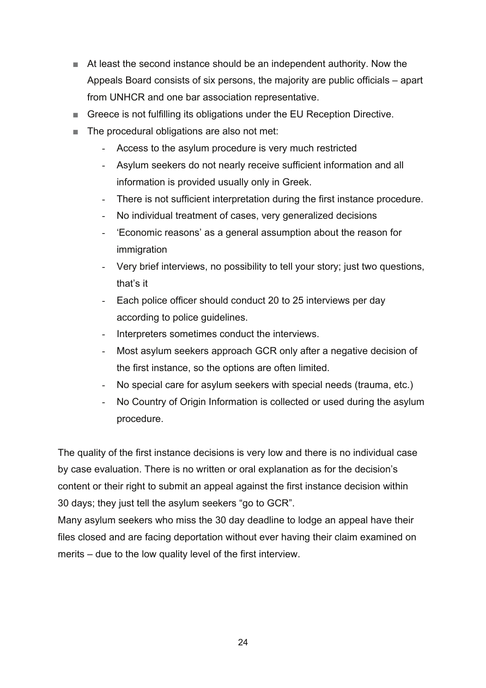- At least the second instance should be an independent authority. Now the Appeals Board consists of six persons, the majority are public officials – apart from UNHCR and one bar association representative.
- Greece is not fulfilling its obligations under the EU Reception Directive.
- The procedural obligations are also not met:
	- Access to the asylum procedure is very much restricted
	- Asylum seekers do not nearly receive sufficient information and all information is provided usually only in Greek.
	- There is not sufficient interpretation during the first instance procedure.
	- No individual treatment of cases, very generalized decisions
	- 'Economic reasons' as a general assumption about the reason for immigration
	- Very brief interviews, no possibility to tell your story; just two questions, that's it
	- Each police officer should conduct 20 to 25 interviews per day according to police guidelines.
	- Interpreters sometimes conduct the interviews.
	- Most asylum seekers approach GCR only after a negative decision of the first instance, so the options are often limited.
	- No special care for asylum seekers with special needs (trauma, etc.)
	- No Country of Origin Information is collected or used during the asylum procedure.

The quality of the first instance decisions is very low and there is no individual case by case evaluation. There is no written or oral explanation as for the decision's content or their right to submit an appeal against the first instance decision within 30 days; they just tell the asylum seekers "go to GCR".

Many asylum seekers who miss the 30 day deadline to lodge an appeal have their files closed and are facing deportation without ever having their claim examined on merits – due to the low quality level of the first interview.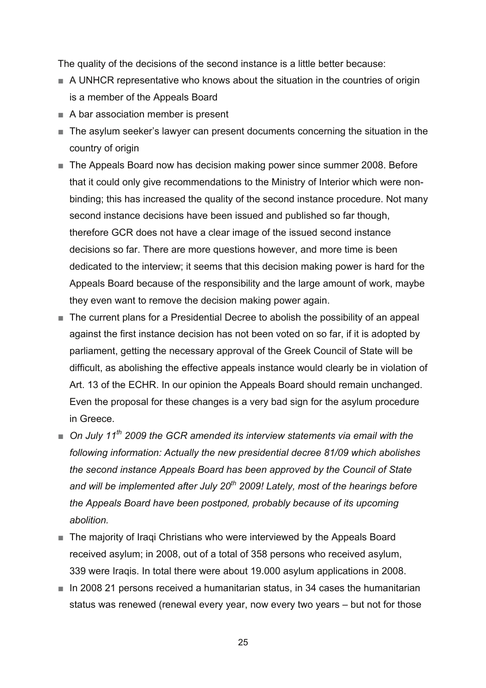The quality of the decisions of the second instance is a little better because:

- A UNHCR representative who knows about the situation in the countries of origin is a member of the Appeals Board
- A bar association member is present
- The asylum seeker's lawyer can present documents concerning the situation in the country of origin
- The Appeals Board now has decision making power since summer 2008. Before that it could only give recommendations to the Ministry of Interior which were nonbinding; this has increased the quality of the second instance procedure. Not many second instance decisions have been issued and published so far though, therefore GCR does not have a clear image of the issued second instance decisions so far. There are more questions however, and more time is been dedicated to the interview; it seems that this decision making power is hard for the Appeals Board because of the responsibility and the large amount of work, maybe they even want to remove the decision making power again.
- The current plans for a Presidential Decree to abolish the possibility of an appeal against the first instance decision has not been voted on so far, if it is adopted by parliament, getting the necessary approval of the Greek Council of State will be difficult, as abolishing the effective appeals instance would clearly be in violation of Art. 13 of the ECHR. In our opinion the Appeals Board should remain unchanged. Even the proposal for these changes is a very bad sign for the asylum procedure in Greece.
- On July 11<sup>th</sup> 2009 the GCR amended its interview statements via email with the *following information: Actually the new presidential decree 81/09 which abolishes the second instance Appeals Board has been approved by the Council of State and will be implemented after July 20th 2009! Lately, most of the hearings before the Appeals Board have been postponed, probably because of its upcoming abolition.*
- The majority of Iraqi Christians who were interviewed by the Appeals Board received asylum; in 2008, out of a total of 358 persons who received asylum, 339 were Iraqis. In total there were about 19.000 asylum applications in 2008.
- In 2008 21 persons received a humanitarian status, in 34 cases the humanitarian status was renewed (renewal every year, now every two years – but not for those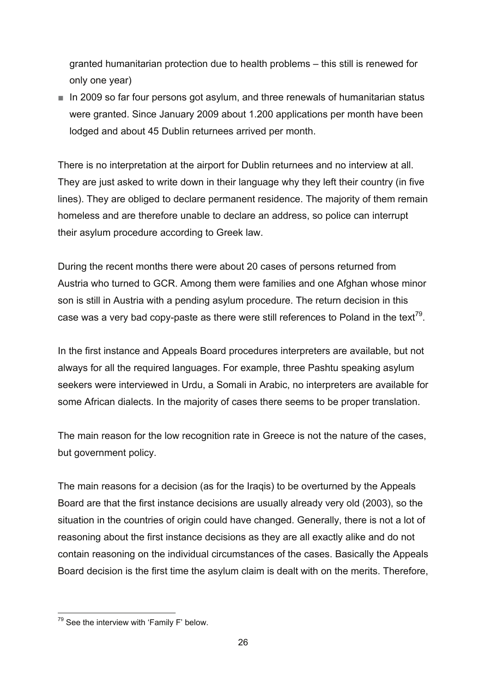granted humanitarian protection due to health problems – this still is renewed for only one year)

■ In 2009 so far four persons got asylum, and three renewals of humanitarian status were granted. Since January 2009 about 1.200 applications per month have been lodged and about 45 Dublin returnees arrived per month.

There is no interpretation at the airport for Dublin returnees and no interview at all. They are just asked to write down in their language why they left their country (in five lines). They are obliged to declare permanent residence. The majority of them remain homeless and are therefore unable to declare an address, so police can interrupt their asylum procedure according to Greek law.

During the recent months there were about 20 cases of persons returned from Austria who turned to GCR. Among them were families and one Afghan whose minor son is still in Austria with a pending asylum procedure. The return decision in this case was a very bad copy-paste as there were still references to Poland in the text<sup>79</sup>.

In the first instance and Appeals Board procedures interpreters are available, but not always for all the required languages. For example, three Pashtu speaking asylum seekers were interviewed in Urdu, a Somali in Arabic, no interpreters are available for some African dialects. In the majority of cases there seems to be proper translation.

The main reason for the low recognition rate in Greece is not the nature of the cases, but government policy.

The main reasons for a decision (as for the Iraqis) to be overturned by the Appeals Board are that the first instance decisions are usually already very old (2003), so the situation in the countries of origin could have changed. Generally, there is not a lot of reasoning about the first instance decisions as they are all exactly alike and do not contain reasoning on the individual circumstances of the cases. Basically the Appeals Board decision is the first time the asylum claim is dealt with on the merits. Therefore,

<sup>1</sup>  $79$  See the interview with 'Family F' below.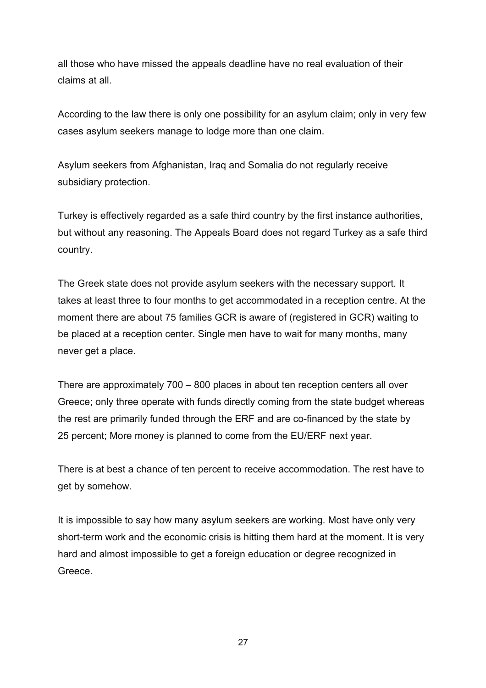all those who have missed the appeals deadline have no real evaluation of their claims at all.

According to the law there is only one possibility for an asylum claim; only in very few cases asylum seekers manage to lodge more than one claim.

Asylum seekers from Afghanistan, Iraq and Somalia do not regularly receive subsidiary protection.

Turkey is effectively regarded as a safe third country by the first instance authorities, but without any reasoning. The Appeals Board does not regard Turkey as a safe third country.

The Greek state does not provide asylum seekers with the necessary support. It takes at least three to four months to get accommodated in a reception centre. At the moment there are about 75 families GCR is aware of (registered in GCR) waiting to be placed at a reception center. Single men have to wait for many months, many never get a place.

There are approximately 700 – 800 places in about ten reception centers all over Greece; only three operate with funds directly coming from the state budget whereas the rest are primarily funded through the ERF and are co-financed by the state by 25 percent; More money is planned to come from the EU/ERF next year.

There is at best a chance of ten percent to receive accommodation. The rest have to get by somehow.

It is impossible to say how many asylum seekers are working. Most have only very short-term work and the economic crisis is hitting them hard at the moment. It is very hard and almost impossible to get a foreign education or degree recognized in Greece.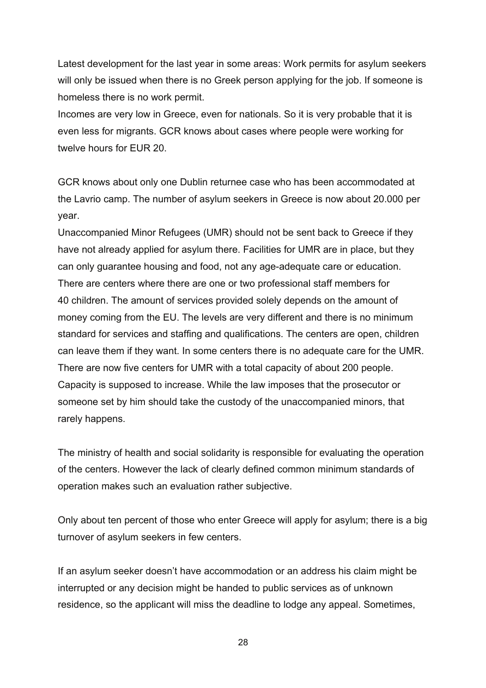Latest development for the last year in some areas: Work permits for asylum seekers will only be issued when there is no Greek person applying for the job. If someone is homeless there is no work permit.

Incomes are very low in Greece, even for nationals. So it is very probable that it is even less for migrants. GCR knows about cases where people were working for twelve hours for EUR 20.

GCR knows about only one Dublin returnee case who has been accommodated at the Lavrio camp. The number of asylum seekers in Greece is now about 20.000 per year.

Unaccompanied Minor Refugees (UMR) should not be sent back to Greece if they have not already applied for asylum there. Facilities for UMR are in place, but they can only guarantee housing and food, not any age-adequate care or education. There are centers where there are one or two professional staff members for 40 children. The amount of services provided solely depends on the amount of money coming from the EU. The levels are very different and there is no minimum standard for services and staffing and qualifications. The centers are open, children can leave them if they want. In some centers there is no adequate care for the UMR. There are now five centers for UMR with a total capacity of about 200 people. Capacity is supposed to increase. While the law imposes that the prosecutor or someone set by him should take the custody of the unaccompanied minors, that rarely happens.

The ministry of health and social solidarity is responsible for evaluating the operation of the centers. However the lack of clearly defined common minimum standards of operation makes such an evaluation rather subjective.

Only about ten percent of those who enter Greece will apply for asylum; there is a big turnover of asylum seekers in few centers.

If an asylum seeker doesn't have accommodation or an address his claim might be interrupted or any decision might be handed to public services as of unknown residence, so the applicant will miss the deadline to lodge any appeal. Sometimes,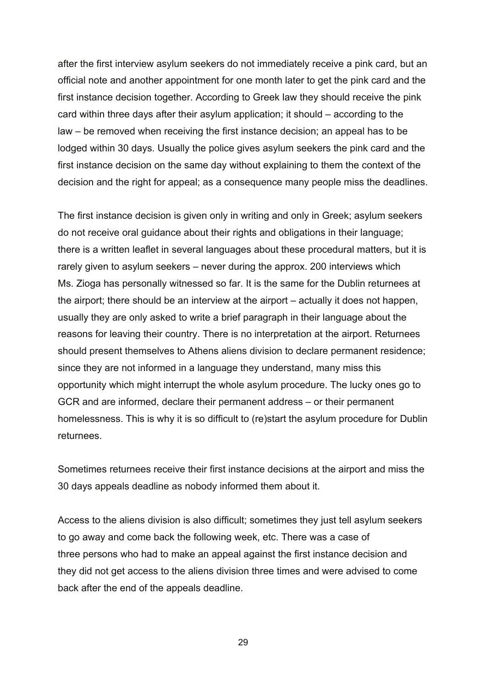after the first interview asylum seekers do not immediately receive a pink card, but an official note and another appointment for one month later to get the pink card and the first instance decision together. According to Greek law they should receive the pink card within three days after their asylum application; it should – according to the law – be removed when receiving the first instance decision; an appeal has to be lodged within 30 days. Usually the police gives asylum seekers the pink card and the first instance decision on the same day without explaining to them the context of the decision and the right for appeal; as a consequence many people miss the deadlines.

The first instance decision is given only in writing and only in Greek; asylum seekers do not receive oral guidance about their rights and obligations in their language; there is a written leaflet in several languages about these procedural matters, but it is rarely given to asylum seekers – never during the approx. 200 interviews which Ms. Zioga has personally witnessed so far. It is the same for the Dublin returnees at the airport; there should be an interview at the airport – actually it does not happen, usually they are only asked to write a brief paragraph in their language about the reasons for leaving their country. There is no interpretation at the airport. Returnees should present themselves to Athens aliens division to declare permanent residence; since they are not informed in a language they understand, many miss this opportunity which might interrupt the whole asylum procedure. The lucky ones go to GCR and are informed, declare their permanent address – or their permanent homelessness. This is why it is so difficult to (re)start the asylum procedure for Dublin returnees.

Sometimes returnees receive their first instance decisions at the airport and miss the 30 days appeals deadline as nobody informed them about it.

Access to the aliens division is also difficult; sometimes they just tell asylum seekers to go away and come back the following week, etc. There was a case of three persons who had to make an appeal against the first instance decision and they did not get access to the aliens division three times and were advised to come back after the end of the appeals deadline.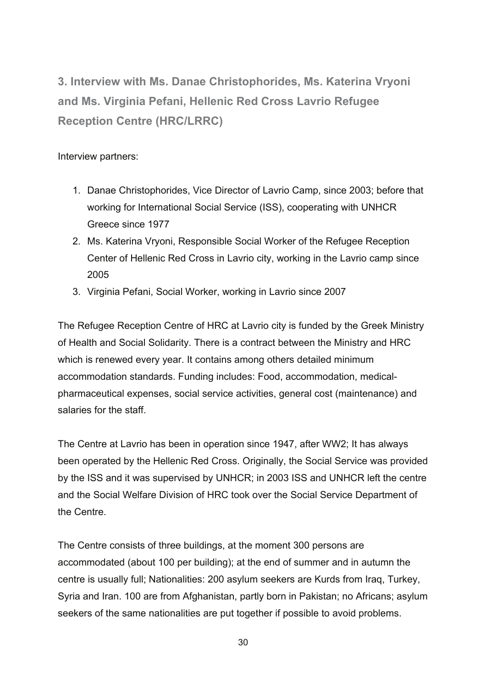**3. Interview with Ms. Danae Christophorides, Ms. Katerina Vryoni and Ms. Virginia Pefani, Hellenic Red Cross Lavrio Refugee Reception Centre (HRC/LRRC)** 

#### Interview partners:

- 1. Danae Christophorides, Vice Director of Lavrio Camp, since 2003; before that working for International Social Service (ISS), cooperating with UNHCR Greece since 1977
- 2. Ms. Katerina Vryoni, Responsible Social Worker of the Refugee Reception Center of Hellenic Red Cross in Lavrio city, working in the Lavrio camp since 2005
- 3. Virginia Pefani, Social Worker, working in Lavrio since 2007

The Refugee Reception Centre of HRC at Lavrio city is funded by the Greek Ministry of Health and Social Solidarity. There is a contract between the Ministry and HRC which is renewed every year. It contains among others detailed minimum accommodation standards. Funding includes: Food, accommodation, medicalpharmaceutical expenses, social service activities, general cost (maintenance) and salaries for the staff.

The Centre at Lavrio has been in operation since 1947, after WW2; It has always been operated by the Hellenic Red Cross. Originally, the Social Service was provided by the ISS and it was supervised by UNHCR; in 2003 ISS and UNHCR left the centre and the Social Welfare Division of HRC took over the Social Service Department of the Centre.

The Centre consists of three buildings, at the moment 300 persons are accommodated (about 100 per building); at the end of summer and in autumn the centre is usually full; Nationalities: 200 asylum seekers are Kurds from Iraq, Turkey, Syria and Iran. 100 are from Afghanistan, partly born in Pakistan; no Africans; asylum seekers of the same nationalities are put together if possible to avoid problems.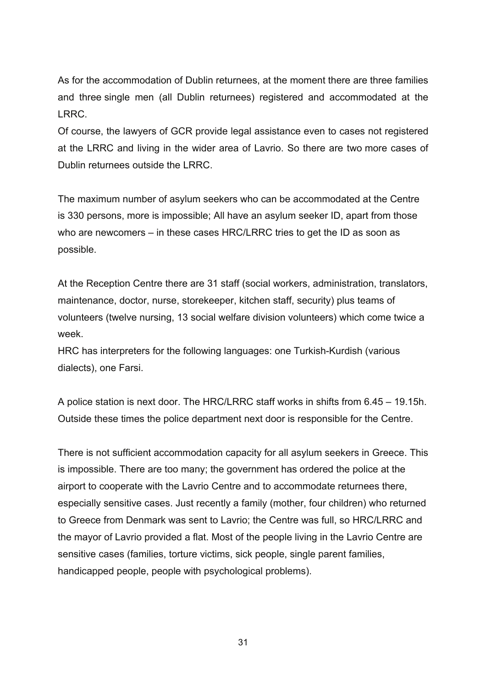As for the accommodation of Dublin returnees, at the moment there are three families and three single men (all Dublin returnees) registered and accommodated at the LRRC.

Of course, the lawyers of GCR provide legal assistance even to cases not registered at the LRRC and living in the wider area of Lavrio. So there are two more cases of Dublin returnees outside the LRRC.

The maximum number of asylum seekers who can be accommodated at the Centre is 330 persons, more is impossible; All have an asylum seeker ID, apart from those who are newcomers – in these cases HRC/LRRC tries to get the ID as soon as possible.

At the Reception Centre there are 31 staff (social workers, administration, translators, maintenance, doctor, nurse, storekeeper, kitchen staff, security) plus teams of volunteers (twelve nursing, 13 social welfare division volunteers) which come twice a week.

HRC has interpreters for the following languages: one Turkish-Kurdish (various dialects), one Farsi.

A police station is next door. The HRC/LRRC staff works in shifts from 6.45 – 19.15h. Outside these times the police department next door is responsible for the Centre.

There is not sufficient accommodation capacity for all asylum seekers in Greece. This is impossible. There are too many; the government has ordered the police at the airport to cooperate with the Lavrio Centre and to accommodate returnees there, especially sensitive cases. Just recently a family (mother, four children) who returned to Greece from Denmark was sent to Lavrio; the Centre was full, so HRC/LRRC and the mayor of Lavrio provided a flat. Most of the people living in the Lavrio Centre are sensitive cases (families, torture victims, sick people, single parent families, handicapped people, people with psychological problems).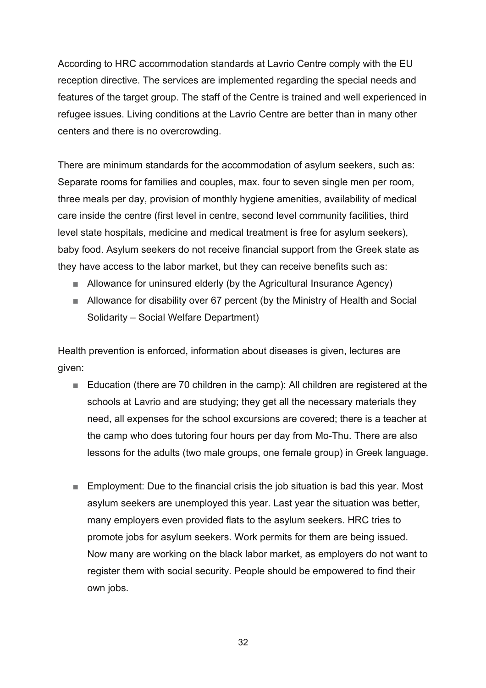According to HRC accommodation standards at Lavrio Centre comply with the EU reception directive. The services are implemented regarding the special needs and features of the target group. The staff of the Centre is trained and well experienced in refugee issues. Living conditions at the Lavrio Centre are better than in many other centers and there is no overcrowding.

There are minimum standards for the accommodation of asylum seekers, such as: Separate rooms for families and couples, max. four to seven single men per room, three meals per day, provision of monthly hygiene amenities, availability of medical care inside the centre (first level in centre, second level community facilities, third level state hospitals, medicine and medical treatment is free for asylum seekers), baby food. Asylum seekers do not receive financial support from the Greek state as they have access to the labor market, but they can receive benefits such as:

- Allowance for uninsured elderly (by the Agricultural Insurance Agency)
- Allowance for disability over 67 percent (by the Ministry of Health and Social Solidarity – Social Welfare Department)

Health prevention is enforced, information about diseases is given, lectures are given:

- Education (there are 70 children in the camp): All children are registered at the schools at Lavrio and are studying; they get all the necessary materials they need, all expenses for the school excursions are covered; there is a teacher at the camp who does tutoring four hours per day from Mo-Thu. There are also lessons for the adults (two male groups, one female group) in Greek language.
- Employment: Due to the financial crisis the job situation is bad this year. Most asylum seekers are unemployed this year. Last year the situation was better, many employers even provided flats to the asylum seekers. HRC tries to promote jobs for asylum seekers. Work permits for them are being issued. Now many are working on the black labor market, as employers do not want to register them with social security. People should be empowered to find their own jobs.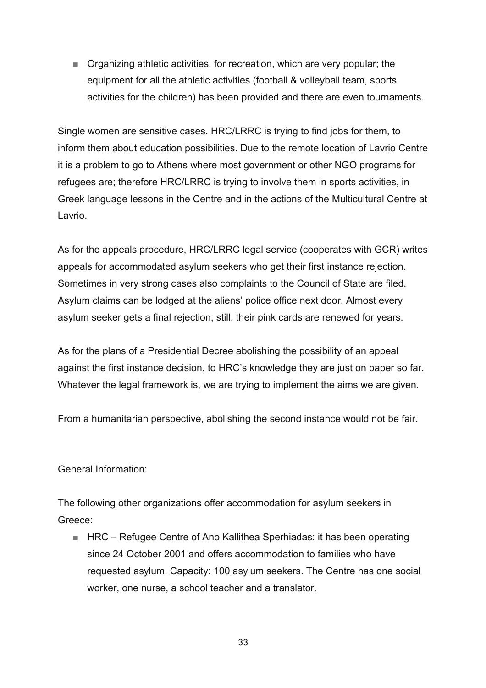■ Organizing athletic activities, for recreation, which are very popular; the equipment for all the athletic activities (football & volleyball team, sports activities for the children) has been provided and there are even tournaments.

Single women are sensitive cases. HRC/LRRC is trying to find jobs for them, to inform them about education possibilities. Due to the remote location of Lavrio Centre it is a problem to go to Athens where most government or other NGO programs for refugees are; therefore HRC/LRRC is trying to involve them in sports activities, in Greek language lessons in the Centre and in the actions of the Multicultural Centre at Lavrio.

As for the appeals procedure, HRC/LRRC legal service (cooperates with GCR) writes appeals for accommodated asylum seekers who get their first instance rejection. Sometimes in very strong cases also complaints to the Council of State are filed. Asylum claims can be lodged at the aliens' police office next door. Almost every asylum seeker gets a final rejection; still, their pink cards are renewed for years.

As for the plans of a Presidential Decree abolishing the possibility of an appeal against the first instance decision, to HRC's knowledge they are just on paper so far. Whatever the legal framework is, we are trying to implement the aims we are given.

From a humanitarian perspective, abolishing the second instance would not be fair.

General Information:

The following other organizations offer accommodation for asylum seekers in Greece:

■ HRC – Refugee Centre of Ano Kallithea Sperhiadas: it has been operating since 24 October 2001 and offers accommodation to families who have requested asylum. Capacity: 100 asylum seekers. The Centre has one social worker, one nurse, a school teacher and a translator.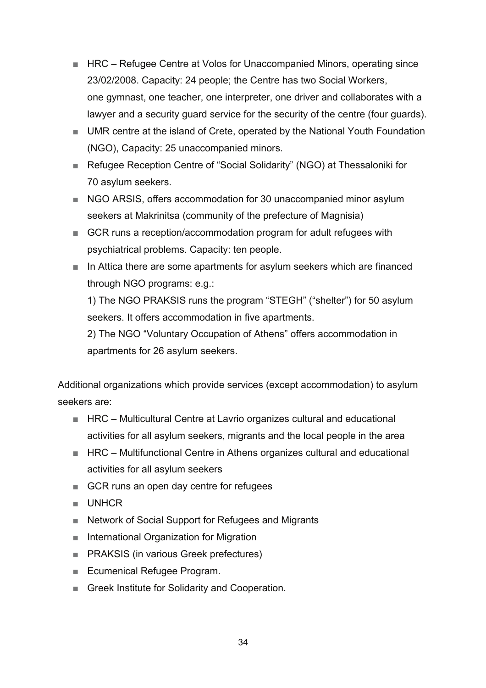- HRC Refugee Centre at Volos for Unaccompanied Minors, operating since 23/02/2008. Capacity: 24 people; the Centre has two Social Workers, one gymnast, one teacher, one interpreter, one driver and collaborates with a lawyer and a security guard service for the security of the centre (four guards).
- UMR centre at the island of Crete, operated by the National Youth Foundation (NGO), Capacity: 25 unaccompanied minors.
- Refugee Reception Centre of "Social Solidarity" (NGO) at Thessaloniki for 70 asylum seekers.
- NGO ARSIS, offers accommodation for 30 unaccompanied minor asylum seekers at Makrinitsa (community of the prefecture of Magnisia)
- GCR runs a reception/accommodation program for adult refugees with psychiatrical problems. Capacity: ten people.
- In Attica there are some apartments for asylum seekers which are financed through NGO programs: e.g.:

1) The NGO PRAKSIS runs the program "STEGH" ("shelter") for 50 asylum seekers. It offers accommodation in five apartments.

2) The NGO "Voluntary Occupation of Athens" offers accommodation in apartments for 26 asylum seekers.

Additional organizations which provide services (except accommodation) to asylum seekers are:

- HRC Multicultural Centre at Lavrio organizes cultural and educational activities for all asylum seekers, migrants and the local people in the area
- HRC Multifunctional Centre in Athens organizes cultural and educational activities for all asylum seekers
- GCR runs an open day centre for refugees
- UNHCR
- Network of Social Support for Refugees and Migrants
- International Organization for Migration
- PRAKSIS (in various Greek prefectures)
- Ecumenical Refugee Program.
- Greek Institute for Solidarity and Cooperation.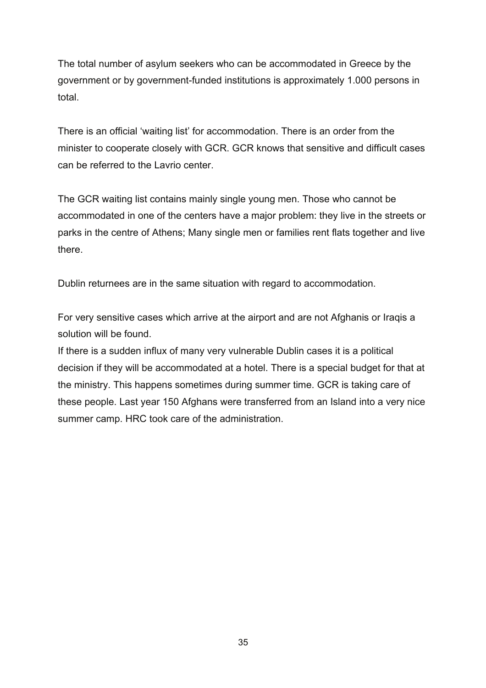The total number of asylum seekers who can be accommodated in Greece by the government or by government-funded institutions is approximately 1.000 persons in total.

There is an official 'waiting list' for accommodation. There is an order from the minister to cooperate closely with GCR. GCR knows that sensitive and difficult cases can be referred to the Lavrio center.

The GCR waiting list contains mainly single young men. Those who cannot be accommodated in one of the centers have a major problem: they live in the streets or parks in the centre of Athens; Many single men or families rent flats together and live there.

Dublin returnees are in the same situation with regard to accommodation.

For very sensitive cases which arrive at the airport and are not Afghanis or Iraqis a solution will be found.

If there is a sudden influx of many very vulnerable Dublin cases it is a political decision if they will be accommodated at a hotel. There is a special budget for that at the ministry. This happens sometimes during summer time. GCR is taking care of these people. Last year 150 Afghans were transferred from an Island into a very nice summer camp. HRC took care of the administration.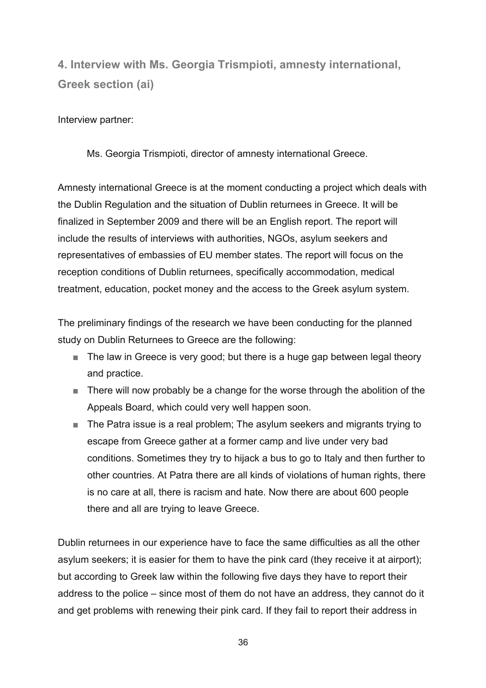**4. Interview with Ms. Georgia Trismpioti, amnesty international, Greek section (ai)** 

Interview partner:

Ms. Georgia Trismpioti, director of amnesty international Greece.

Amnesty international Greece is at the moment conducting a project which deals with the Dublin Regulation and the situation of Dublin returnees in Greece. It will be finalized in September 2009 and there will be an English report. The report will include the results of interviews with authorities, NGOs, asylum seekers and representatives of embassies of EU member states. The report will focus on the reception conditions of Dublin returnees, specifically accommodation, medical treatment, education, pocket money and the access to the Greek asylum system.

The preliminary findings of the research we have been conducting for the planned study on Dublin Returnees to Greece are the following:

- The law in Greece is very good; but there is a huge gap between legal theory and practice.
- There will now probably be a change for the worse through the abolition of the Appeals Board, which could very well happen soon.
- The Patra issue is a real problem; The asylum seekers and migrants trying to escape from Greece gather at a former camp and live under very bad conditions. Sometimes they try to hijack a bus to go to Italy and then further to other countries. At Patra there are all kinds of violations of human rights, there is no care at all, there is racism and hate. Now there are about 600 people there and all are trying to leave Greece.

Dublin returnees in our experience have to face the same difficulties as all the other asylum seekers; it is easier for them to have the pink card (they receive it at airport); but according to Greek law within the following five days they have to report their address to the police – since most of them do not have an address, they cannot do it and get problems with renewing their pink card. If they fail to report their address in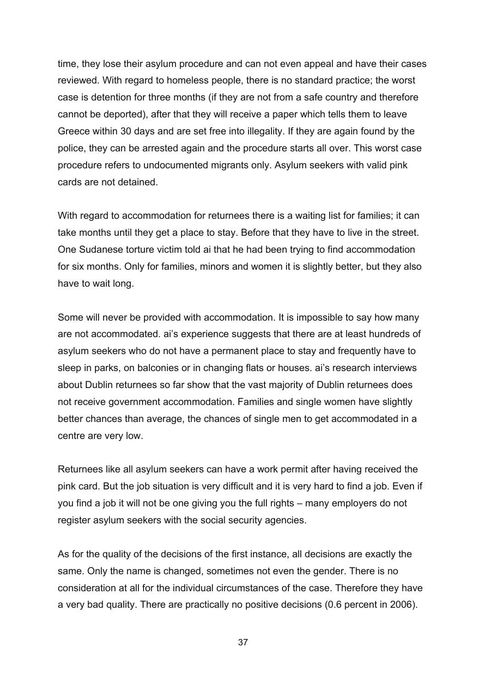time, they lose their asylum procedure and can not even appeal and have their cases reviewed. With regard to homeless people, there is no standard practice; the worst case is detention for three months (if they are not from a safe country and therefore cannot be deported), after that they will receive a paper which tells them to leave Greece within 30 days and are set free into illegality. If they are again found by the police, they can be arrested again and the procedure starts all over. This worst case procedure refers to undocumented migrants only. Asylum seekers with valid pink cards are not detained.

With regard to accommodation for returnees there is a waiting list for families; it can take months until they get a place to stay. Before that they have to live in the street. One Sudanese torture victim told ai that he had been trying to find accommodation for six months. Only for families, minors and women it is slightly better, but they also have to wait long.

Some will never be provided with accommodation. It is impossible to say how many are not accommodated. ai's experience suggests that there are at least hundreds of asylum seekers who do not have a permanent place to stay and frequently have to sleep in parks, on balconies or in changing flats or houses. ai's research interviews about Dublin returnees so far show that the vast majority of Dublin returnees does not receive government accommodation. Families and single women have slightly better chances than average, the chances of single men to get accommodated in a centre are very low.

Returnees like all asylum seekers can have a work permit after having received the pink card. But the job situation is very difficult and it is very hard to find a job. Even if you find a job it will not be one giving you the full rights – many employers do not register asylum seekers with the social security agencies.

As for the quality of the decisions of the first instance, all decisions are exactly the same. Only the name is changed, sometimes not even the gender. There is no consideration at all for the individual circumstances of the case. Therefore they have a very bad quality. There are practically no positive decisions (0.6 percent in 2006).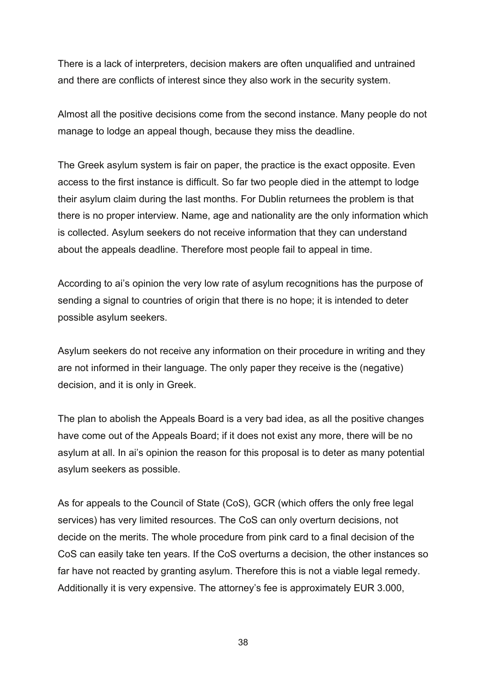There is a lack of interpreters, decision makers are often unqualified and untrained and there are conflicts of interest since they also work in the security system.

Almost all the positive decisions come from the second instance. Many people do not manage to lodge an appeal though, because they miss the deadline.

The Greek asylum system is fair on paper, the practice is the exact opposite. Even access to the first instance is difficult. So far two people died in the attempt to lodge their asylum claim during the last months. For Dublin returnees the problem is that there is no proper interview. Name, age and nationality are the only information which is collected. Asylum seekers do not receive information that they can understand about the appeals deadline. Therefore most people fail to appeal in time.

According to ai's opinion the very low rate of asylum recognitions has the purpose of sending a signal to countries of origin that there is no hope; it is intended to deter possible asylum seekers.

Asylum seekers do not receive any information on their procedure in writing and they are not informed in their language. The only paper they receive is the (negative) decision, and it is only in Greek.

The plan to abolish the Appeals Board is a very bad idea, as all the positive changes have come out of the Appeals Board; if it does not exist any more, there will be no asylum at all. In ai's opinion the reason for this proposal is to deter as many potential asylum seekers as possible.

As for appeals to the Council of State (CoS), GCR (which offers the only free legal services) has very limited resources. The CoS can only overturn decisions, not decide on the merits. The whole procedure from pink card to a final decision of the CoS can easily take ten years. If the CoS overturns a decision, the other instances so far have not reacted by granting asylum. Therefore this is not a viable legal remedy. Additionally it is very expensive. The attorney's fee is approximately EUR 3.000,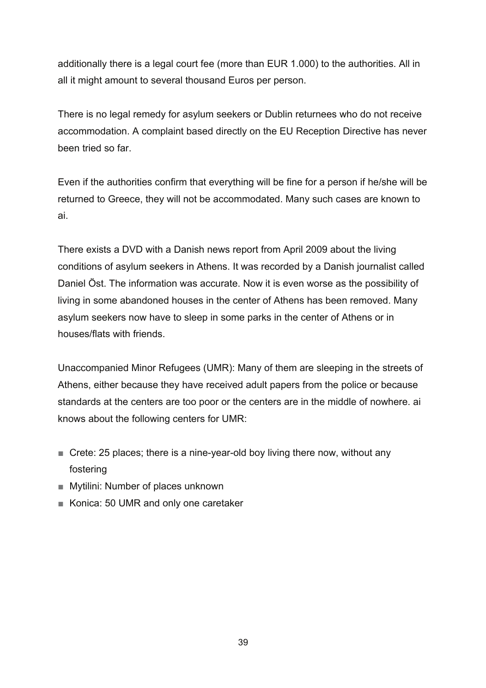additionally there is a legal court fee (more than EUR 1.000) to the authorities. All in all it might amount to several thousand Euros per person.

There is no legal remedy for asylum seekers or Dublin returnees who do not receive accommodation. A complaint based directly on the EU Reception Directive has never been tried so far.

Even if the authorities confirm that everything will be fine for a person if he/she will be returned to Greece, they will not be accommodated. Many such cases are known to ai.

There exists a DVD with a Danish news report from April 2009 about the living conditions of asylum seekers in Athens. It was recorded by a Danish journalist called Daniel Öst. The information was accurate. Now it is even worse as the possibility of living in some abandoned houses in the center of Athens has been removed. Many asylum seekers now have to sleep in some parks in the center of Athens or in houses/flats with friends.

Unaccompanied Minor Refugees (UMR): Many of them are sleeping in the streets of Athens, either because they have received adult papers from the police or because standards at the centers are too poor or the centers are in the middle of nowhere. ai knows about the following centers for UMR:

- Crete: 25 places; there is a nine-year-old boy living there now, without any fostering
- Mytilini: Number of places unknown
- Konica: 50 UMR and only one caretaker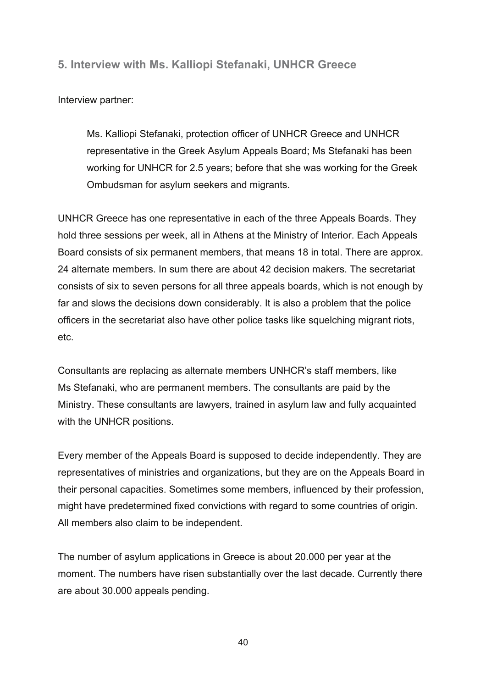**5. Interview with Ms. Kalliopi Stefanaki, UNHCR Greece** 

Interview partner:

Ms. Kalliopi Stefanaki, protection officer of UNHCR Greece and UNHCR representative in the Greek Asylum Appeals Board; Ms Stefanaki has been working for UNHCR for 2.5 years; before that she was working for the Greek Ombudsman for asylum seekers and migrants.

UNHCR Greece has one representative in each of the three Appeals Boards. They hold three sessions per week, all in Athens at the Ministry of Interior. Each Appeals Board consists of six permanent members, that means 18 in total. There are approx. 24 alternate members. In sum there are about 42 decision makers. The secretariat consists of six to seven persons for all three appeals boards, which is not enough by far and slows the decisions down considerably. It is also a problem that the police officers in the secretariat also have other police tasks like squelching migrant riots, etc.

Consultants are replacing as alternate members UNHCR's staff members, like Ms Stefanaki, who are permanent members. The consultants are paid by the Ministry. These consultants are lawyers, trained in asylum law and fully acquainted with the UNHCR positions.

Every member of the Appeals Board is supposed to decide independently. They are representatives of ministries and organizations, but they are on the Appeals Board in their personal capacities. Sometimes some members, influenced by their profession, might have predetermined fixed convictions with regard to some countries of origin. All members also claim to be independent.

The number of asylum applications in Greece is about 20.000 per year at the moment. The numbers have risen substantially over the last decade. Currently there are about 30.000 appeals pending.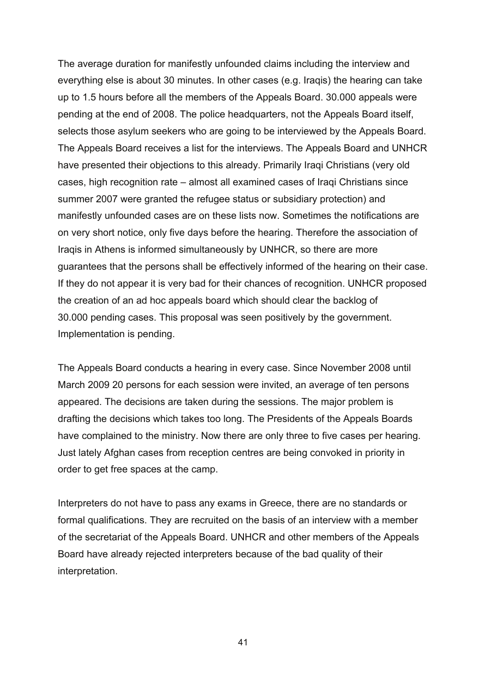The average duration for manifestly unfounded claims including the interview and everything else is about 30 minutes. In other cases (e.g. Iraqis) the hearing can take up to 1.5 hours before all the members of the Appeals Board. 30.000 appeals were pending at the end of 2008. The police headquarters, not the Appeals Board itself, selects those asylum seekers who are going to be interviewed by the Appeals Board. The Appeals Board receives a list for the interviews. The Appeals Board and UNHCR have presented their objections to this already. Primarily Iraqi Christians (very old cases, high recognition rate – almost all examined cases of Iraqi Christians since summer 2007 were granted the refugee status or subsidiary protection) and manifestly unfounded cases are on these lists now. Sometimes the notifications are on very short notice, only five days before the hearing. Therefore the association of Iraqis in Athens is informed simultaneously by UNHCR, so there are more guarantees that the persons shall be effectively informed of the hearing on their case. If they do not appear it is very bad for their chances of recognition. UNHCR proposed the creation of an ad hoc appeals board which should clear the backlog of 30.000 pending cases. This proposal was seen positively by the government. Implementation is pending.

The Appeals Board conducts a hearing in every case. Since November 2008 until March 2009 20 persons for each session were invited, an average of ten persons appeared. The decisions are taken during the sessions. The major problem is drafting the decisions which takes too long. The Presidents of the Appeals Boards have complained to the ministry. Now there are only three to five cases per hearing. Just lately Afghan cases from reception centres are being convoked in priority in order to get free spaces at the camp.

Interpreters do not have to pass any exams in Greece, there are no standards or formal qualifications. They are recruited on the basis of an interview with a member of the secretariat of the Appeals Board. UNHCR and other members of the Appeals Board have already rejected interpreters because of the bad quality of their interpretation.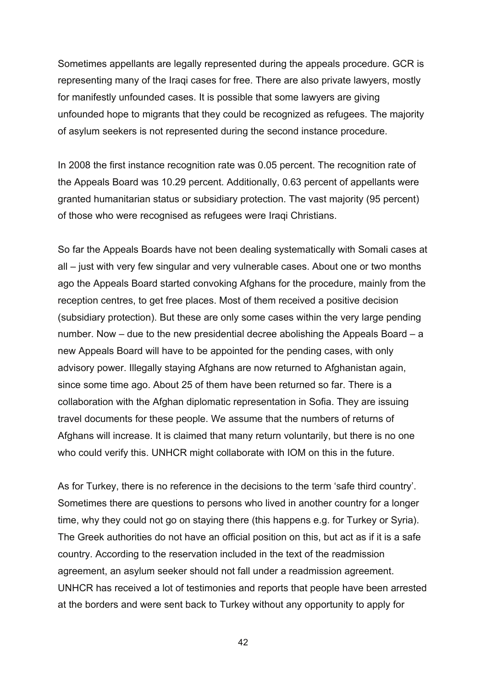Sometimes appellants are legally represented during the appeals procedure. GCR is representing many of the Iraqi cases for free. There are also private lawyers, mostly for manifestly unfounded cases. It is possible that some lawyers are giving unfounded hope to migrants that they could be recognized as refugees. The majority of asylum seekers is not represented during the second instance procedure.

In 2008 the first instance recognition rate was 0.05 percent. The recognition rate of the Appeals Board was 10.29 percent. Additionally, 0.63 percent of appellants were granted humanitarian status or subsidiary protection. The vast majority (95 percent) of those who were recognised as refugees were Iraqi Christians.

So far the Appeals Boards have not been dealing systematically with Somali cases at all – just with very few singular and very vulnerable cases. About one or two months ago the Appeals Board started convoking Afghans for the procedure, mainly from the reception centres, to get free places. Most of them received a positive decision (subsidiary protection). But these are only some cases within the very large pending number. Now – due to the new presidential decree abolishing the Appeals Board – a new Appeals Board will have to be appointed for the pending cases, with only advisory power. Illegally staying Afghans are now returned to Afghanistan again, since some time ago. About 25 of them have been returned so far. There is a collaboration with the Afghan diplomatic representation in Sofia. They are issuing travel documents for these people. We assume that the numbers of returns of Afghans will increase. It is claimed that many return voluntarily, but there is no one who could verify this. UNHCR might collaborate with IOM on this in the future.

As for Turkey, there is no reference in the decisions to the term 'safe third country'. Sometimes there are questions to persons who lived in another country for a longer time, why they could not go on staying there (this happens e.g. for Turkey or Syria). The Greek authorities do not have an official position on this, but act as if it is a safe country. According to the reservation included in the text of the readmission agreement, an asylum seeker should not fall under a readmission agreement. UNHCR has received a lot of testimonies and reports that people have been arrested at the borders and were sent back to Turkey without any opportunity to apply for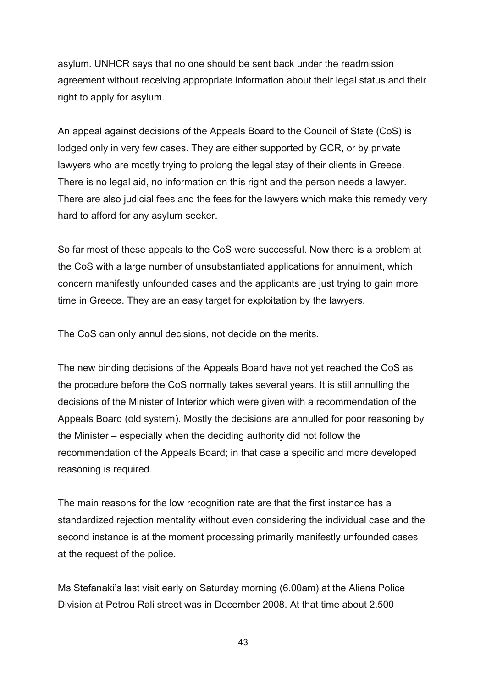asylum. UNHCR says that no one should be sent back under the readmission agreement without receiving appropriate information about their legal status and their right to apply for asylum.

An appeal against decisions of the Appeals Board to the Council of State (CoS) is lodged only in very few cases. They are either supported by GCR, or by private lawyers who are mostly trying to prolong the legal stay of their clients in Greece. There is no legal aid, no information on this right and the person needs a lawyer. There are also judicial fees and the fees for the lawyers which make this remedy very hard to afford for any asylum seeker.

So far most of these appeals to the CoS were successful. Now there is a problem at the CoS with a large number of unsubstantiated applications for annulment, which concern manifestly unfounded cases and the applicants are just trying to gain more time in Greece. They are an easy target for exploitation by the lawyers.

The CoS can only annul decisions, not decide on the merits.

The new binding decisions of the Appeals Board have not yet reached the CoS as the procedure before the CoS normally takes several years. It is still annulling the decisions of the Minister of Interior which were given with a recommendation of the Appeals Board (old system). Mostly the decisions are annulled for poor reasoning by the Minister – especially when the deciding authority did not follow the recommendation of the Appeals Board; in that case a specific and more developed reasoning is required.

The main reasons for the low recognition rate are that the first instance has a standardized rejection mentality without even considering the individual case and the second instance is at the moment processing primarily manifestly unfounded cases at the request of the police.

Ms Stefanaki's last visit early on Saturday morning (6.00am) at the Aliens Police Division at Petrou Rali street was in December 2008. At that time about 2.500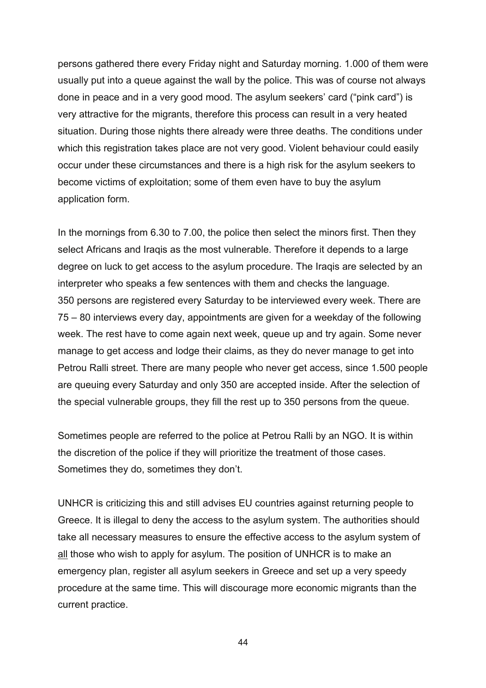persons gathered there every Friday night and Saturday morning. 1.000 of them were usually put into a queue against the wall by the police. This was of course not always done in peace and in a very good mood. The asylum seekers' card ("pink card") is very attractive for the migrants, therefore this process can result in a very heated situation. During those nights there already were three deaths. The conditions under which this registration takes place are not very good. Violent behaviour could easily occur under these circumstances and there is a high risk for the asylum seekers to become victims of exploitation; some of them even have to buy the asylum application form.

In the mornings from 6.30 to 7.00, the police then select the minors first. Then they select Africans and Iraqis as the most vulnerable. Therefore it depends to a large degree on luck to get access to the asylum procedure. The Iraqis are selected by an interpreter who speaks a few sentences with them and checks the language. 350 persons are registered every Saturday to be interviewed every week. There are 75 – 80 interviews every day, appointments are given for a weekday of the following week. The rest have to come again next week, queue up and try again. Some never manage to get access and lodge their claims, as they do never manage to get into Petrou Ralli street. There are many people who never get access, since 1.500 people are queuing every Saturday and only 350 are accepted inside. After the selection of the special vulnerable groups, they fill the rest up to 350 persons from the queue.

Sometimes people are referred to the police at Petrou Ralli by an NGO. It is within the discretion of the police if they will prioritize the treatment of those cases. Sometimes they do, sometimes they don't.

UNHCR is criticizing this and still advises EU countries against returning people to Greece. It is illegal to deny the access to the asylum system. The authorities should take all necessary measures to ensure the effective access to the asylum system of all those who wish to apply for asylum. The position of UNHCR is to make an emergency plan, register all asylum seekers in Greece and set up a very speedy procedure at the same time. This will discourage more economic migrants than the current practice.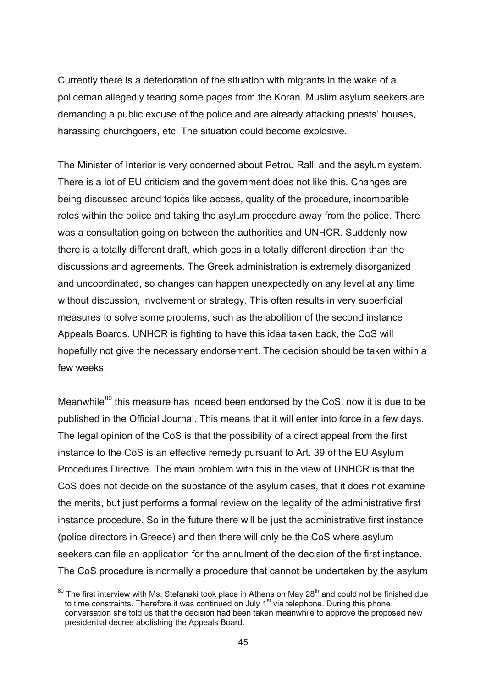Currently there is a deterioration of the situation with migrants in the wake of a policeman allegedly tearing some pages from the Koran. Muslim asylum seekers are demanding a public excuse of the police and are already attacking priests' houses, harassing churchgoers, etc. The situation could become explosive.

The Minister of Interior is very concerned about Petrou Ralli and the asylum system. There is a lot of EU criticism and the government does not like this. Changes are being discussed around topics like access, quality of the procedure, incompatible roles within the police and taking the asylum procedure away from the police. There was a consultation going on between the authorities and UNHCR. Suddenly now there is a totally different draft, which goes in a totally different direction than the discussions and agreements. The Greek administration is extremely disorganized and uncoordinated, so changes can happen unexpectedly on any level at any time without discussion, involvement or strategy. This often results in very superficial measures to solve some problems, such as the abolition of the second instance Appeals Boards. UNHCR is fighting to have this idea taken back, the CoS will hopefully not give the necessary endorsement. The decision should be taken within a few weeks.

Meanwhile<sup>80</sup> this measure has indeed been endorsed by the CoS, now it is due to be published in the Official Journal. This means that it will enter into force in a few days. The legal opinion of the CoS is that the possibility of a direct appeal from the first instance to the CoS is an effective remedy pursuant to Art. 39 of the EU Asylum Procedures Directive. The main problem with this in the view of UNHCR is that the CoS does not decide on the substance of the asylum cases, that it does not examine the merits, but just performs a formal review on the legality of the administrative first instance procedure. So in the future there will be just the administrative first instance (police directors in Greece) and then there will only be the CoS where asylum seekers can file an application for the annulment of the decision of the first instance. The CoS procedure is normally a procedure that cannot be undertaken by the asylum

<sup>1</sup>  $80$  The first interview with Ms. Stefanaki took place in Athens on May 28<sup>th</sup> and could not be finished due to time constraints. Therefore it was continued on July  $1<sup>st</sup>$  via telephone. During this phone conversation she told us that the decision had been taken meanwhile to approve the proposed new presidential decree abolishing the Appeals Board.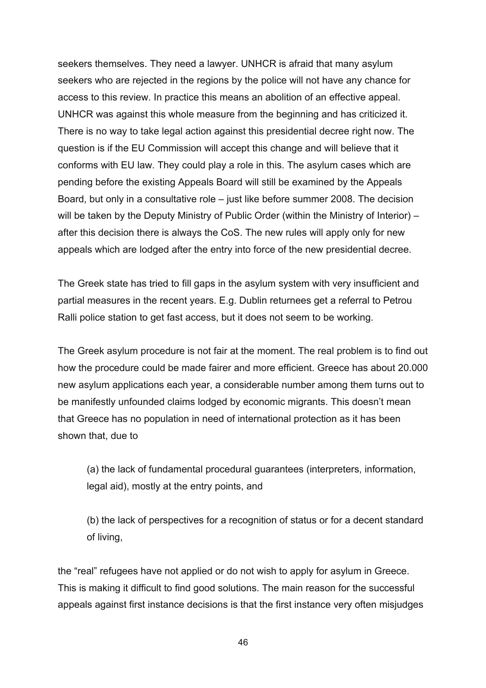seekers themselves. They need a lawyer. UNHCR is afraid that many asylum seekers who are rejected in the regions by the police will not have any chance for access to this review. In practice this means an abolition of an effective appeal. UNHCR was against this whole measure from the beginning and has criticized it. There is no way to take legal action against this presidential decree right now. The question is if the EU Commission will accept this change and will believe that it conforms with EU law. They could play a role in this. The asylum cases which are pending before the existing Appeals Board will still be examined by the Appeals Board, but only in a consultative role – just like before summer 2008. The decision will be taken by the Deputy Ministry of Public Order (within the Ministry of Interior) – after this decision there is always the CoS. The new rules will apply only for new appeals which are lodged after the entry into force of the new presidential decree.

The Greek state has tried to fill gaps in the asylum system with very insufficient and partial measures in the recent years. E.g. Dublin returnees get a referral to Petrou Ralli police station to get fast access, but it does not seem to be working.

The Greek asylum procedure is not fair at the moment. The real problem is to find out how the procedure could be made fairer and more efficient. Greece has about 20.000 new asylum applications each year, a considerable number among them turns out to be manifestly unfounded claims lodged by economic migrants. This doesn't mean that Greece has no population in need of international protection as it has been shown that, due to

(a) the lack of fundamental procedural guarantees (interpreters, information, legal aid), mostly at the entry points, and

(b) the lack of perspectives for a recognition of status or for a decent standard of living,

the "real" refugees have not applied or do not wish to apply for asylum in Greece. This is making it difficult to find good solutions. The main reason for the successful appeals against first instance decisions is that the first instance very often misjudges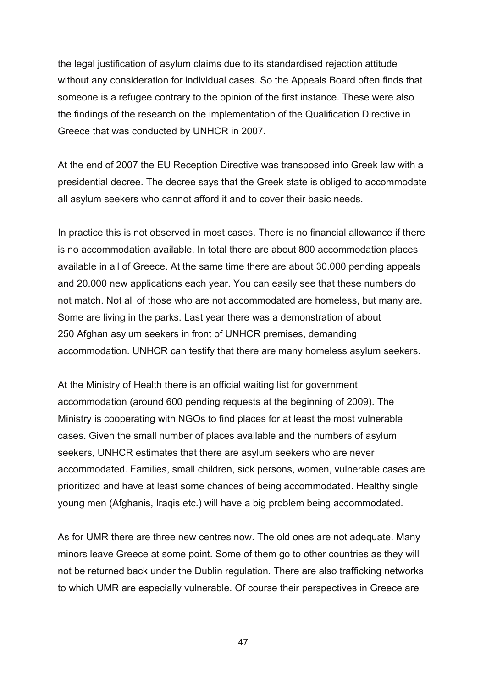the legal justification of asylum claims due to its standardised rejection attitude without any consideration for individual cases. So the Appeals Board often finds that someone is a refugee contrary to the opinion of the first instance. These were also the findings of the research on the implementation of the Qualification Directive in Greece that was conducted by UNHCR in 2007.

At the end of 2007 the EU Reception Directive was transposed into Greek law with a presidential decree. The decree says that the Greek state is obliged to accommodate all asylum seekers who cannot afford it and to cover their basic needs.

In practice this is not observed in most cases. There is no financial allowance if there is no accommodation available. In total there are about 800 accommodation places available in all of Greece. At the same time there are about 30.000 pending appeals and 20.000 new applications each year. You can easily see that these numbers do not match. Not all of those who are not accommodated are homeless, but many are. Some are living in the parks. Last year there was a demonstration of about 250 Afghan asylum seekers in front of UNHCR premises, demanding accommodation. UNHCR can testify that there are many homeless asylum seekers.

At the Ministry of Health there is an official waiting list for government accommodation (around 600 pending requests at the beginning of 2009). The Ministry is cooperating with NGOs to find places for at least the most vulnerable cases. Given the small number of places available and the numbers of asylum seekers, UNHCR estimates that there are asylum seekers who are never accommodated. Families, small children, sick persons, women, vulnerable cases are prioritized and have at least some chances of being accommodated. Healthy single young men (Afghanis, Iraqis etc.) will have a big problem being accommodated.

As for UMR there are three new centres now. The old ones are not adequate. Many minors leave Greece at some point. Some of them go to other countries as they will not be returned back under the Dublin regulation. There are also trafficking networks to which UMR are especially vulnerable. Of course their perspectives in Greece are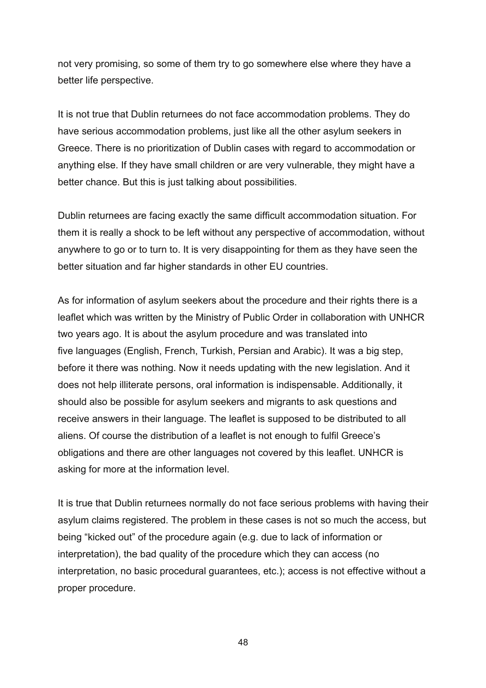not very promising, so some of them try to go somewhere else where they have a better life perspective.

It is not true that Dublin returnees do not face accommodation problems. They do have serious accommodation problems, just like all the other asylum seekers in Greece. There is no prioritization of Dublin cases with regard to accommodation or anything else. If they have small children or are very vulnerable, they might have a better chance. But this is just talking about possibilities.

Dublin returnees are facing exactly the same difficult accommodation situation. For them it is really a shock to be left without any perspective of accommodation, without anywhere to go or to turn to. It is very disappointing for them as they have seen the better situation and far higher standards in other EU countries.

As for information of asylum seekers about the procedure and their rights there is a leaflet which was written by the Ministry of Public Order in collaboration with UNHCR two years ago. It is about the asylum procedure and was translated into five languages (English, French, Turkish, Persian and Arabic). It was a big step, before it there was nothing. Now it needs updating with the new legislation. And it does not help illiterate persons, oral information is indispensable. Additionally, it should also be possible for asylum seekers and migrants to ask questions and receive answers in their language. The leaflet is supposed to be distributed to all aliens. Of course the distribution of a leaflet is not enough to fulfil Greece's obligations and there are other languages not covered by this leaflet. UNHCR is asking for more at the information level.

It is true that Dublin returnees normally do not face serious problems with having their asylum claims registered. The problem in these cases is not so much the access, but being "kicked out" of the procedure again (e.g. due to lack of information or interpretation), the bad quality of the procedure which they can access (no interpretation, no basic procedural guarantees, etc.); access is not effective without a proper procedure.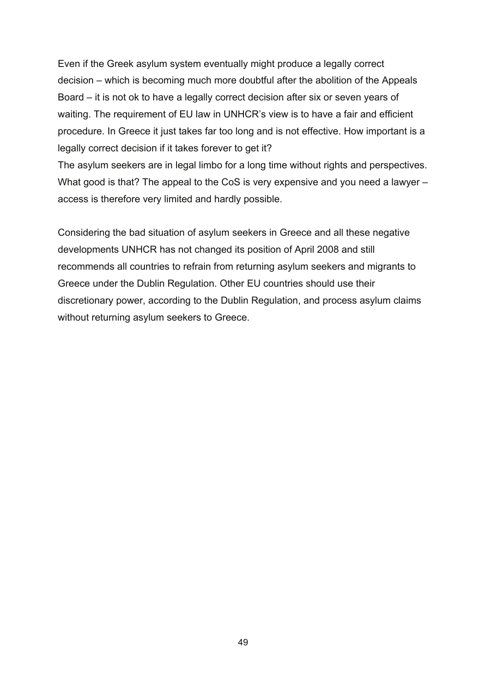Even if the Greek asylum system eventually might produce a legally correct decision – which is becoming much more doubtful after the abolition of the Appeals Board – it is not ok to have a legally correct decision after six or seven years of waiting. The requirement of EU law in UNHCR's view is to have a fair and efficient procedure. In Greece it just takes far too long and is not effective. How important is a legally correct decision if it takes forever to get it?

The asylum seekers are in legal limbo for a long time without rights and perspectives. What good is that? The appeal to the CoS is very expensive and you need a lawyer – access is therefore very limited and hardly possible.

Considering the bad situation of asylum seekers in Greece and all these negative developments UNHCR has not changed its position of April 2008 and still recommends all countries to refrain from returning asylum seekers and migrants to Greece under the Dublin Regulation. Other EU countries should use their discretionary power, according to the Dublin Regulation, and process asylum claims without returning asylum seekers to Greece.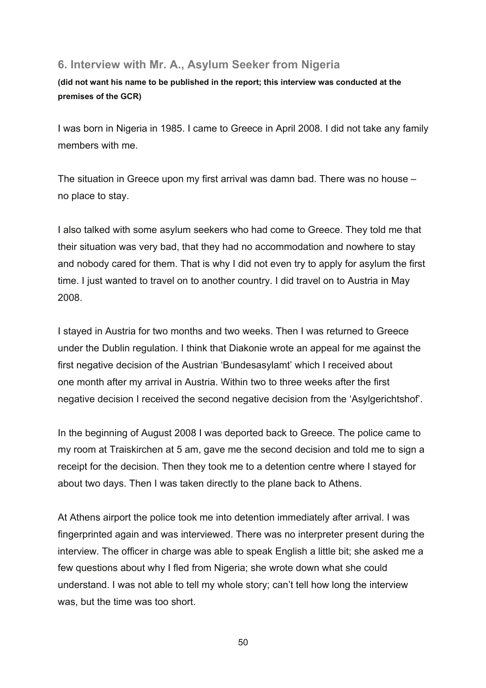### **6. Interview with Mr. A., Asylum Seeker from Nigeria**

**(did not want his name to be published in the report; this interview was conducted at the premises of the GCR)** 

I was born in Nigeria in 1985. I came to Greece in April 2008. I did not take any family members with me.

The situation in Greece upon my first arrival was damn bad. There was no house – no place to stay.

I also talked with some asylum seekers who had come to Greece. They told me that their situation was very bad, that they had no accommodation and nowhere to stay and nobody cared for them. That is why I did not even try to apply for asylum the first time. I just wanted to travel on to another country. I did travel on to Austria in May 2008.

I stayed in Austria for two months and two weeks. Then I was returned to Greece under the Dublin regulation. I think that Diakonie wrote an appeal for me against the first negative decision of the Austrian 'Bundesasylamt' which I received about one month after my arrival in Austria. Within two to three weeks after the first negative decision I received the second negative decision from the 'Asylgerichtshof'.

In the beginning of August 2008 I was deported back to Greece. The police came to my room at Traiskirchen at 5 am, gave me the second decision and told me to sign a receipt for the decision. Then they took me to a detention centre where I stayed for about two days. Then I was taken directly to the plane back to Athens.

At Athens airport the police took me into detention immediately after arrival. I was fingerprinted again and was interviewed. There was no interpreter present during the interview. The officer in charge was able to speak English a little bit; she asked me a few questions about why I fled from Nigeria; she wrote down what she could understand. I was not able to tell my whole story; can't tell how long the interview was, but the time was too short.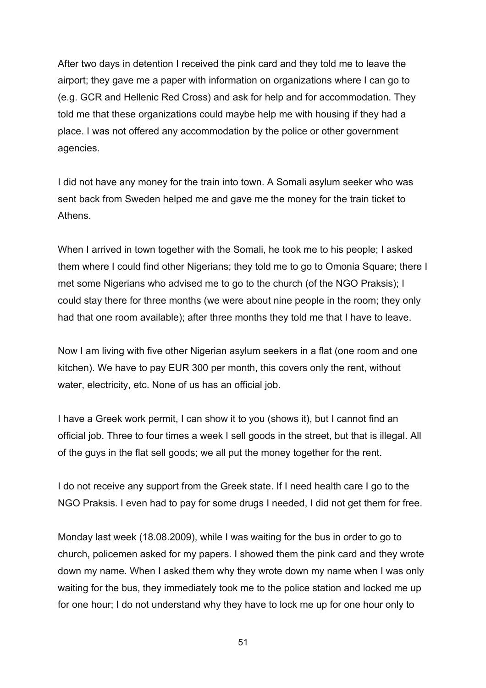After two days in detention I received the pink card and they told me to leave the airport; they gave me a paper with information on organizations where I can go to (e.g. GCR and Hellenic Red Cross) and ask for help and for accommodation. They told me that these organizations could maybe help me with housing if they had a place. I was not offered any accommodation by the police or other government agencies.

I did not have any money for the train into town. A Somali asylum seeker who was sent back from Sweden helped me and gave me the money for the train ticket to Athens.

When I arrived in town together with the Somali, he took me to his people; I asked them where I could find other Nigerians; they told me to go to Omonia Square; there I met some Nigerians who advised me to go to the church (of the NGO Praksis); I could stay there for three months (we were about nine people in the room; they only had that one room available); after three months they told me that I have to leave.

Now I am living with five other Nigerian asylum seekers in a flat (one room and one kitchen). We have to pay EUR 300 per month, this covers only the rent, without water, electricity, etc. None of us has an official job.

I have a Greek work permit, I can show it to you (shows it), but I cannot find an official job. Three to four times a week I sell goods in the street, but that is illegal. All of the guys in the flat sell goods; we all put the money together for the rent.

I do not receive any support from the Greek state. If I need health care I go to the NGO Praksis. I even had to pay for some drugs I needed, I did not get them for free.

Monday last week (18.08.2009), while I was waiting for the bus in order to go to church, policemen asked for my papers. I showed them the pink card and they wrote down my name. When I asked them why they wrote down my name when I was only waiting for the bus, they immediately took me to the police station and locked me up for one hour; I do not understand why they have to lock me up for one hour only to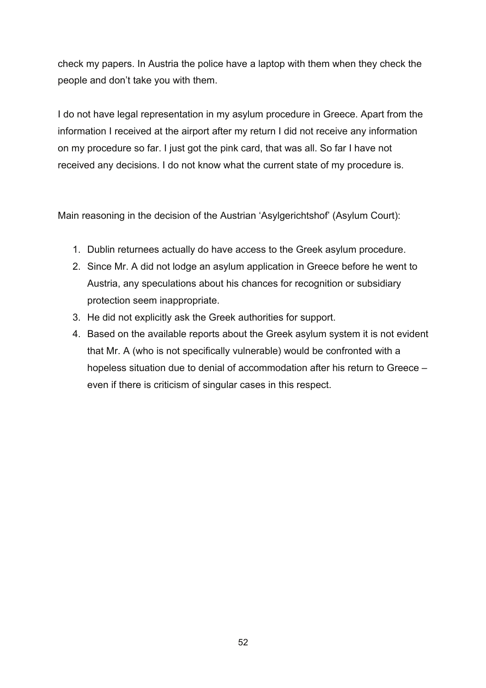check my papers. In Austria the police have a laptop with them when they check the people and don't take you with them.

I do not have legal representation in my asylum procedure in Greece. Apart from the information I received at the airport after my return I did not receive any information on my procedure so far. I just got the pink card, that was all. So far I have not received any decisions. I do not know what the current state of my procedure is.

Main reasoning in the decision of the Austrian 'Asylgerichtshof' (Asylum Court):

- 1. Dublin returnees actually do have access to the Greek asylum procedure.
- 2. Since Mr. A did not lodge an asylum application in Greece before he went to Austria, any speculations about his chances for recognition or subsidiary protection seem inappropriate.
- 3. He did not explicitly ask the Greek authorities for support.
- 4. Based on the available reports about the Greek asylum system it is not evident that Mr. A (who is not specifically vulnerable) would be confronted with a hopeless situation due to denial of accommodation after his return to Greece – even if there is criticism of singular cases in this respect.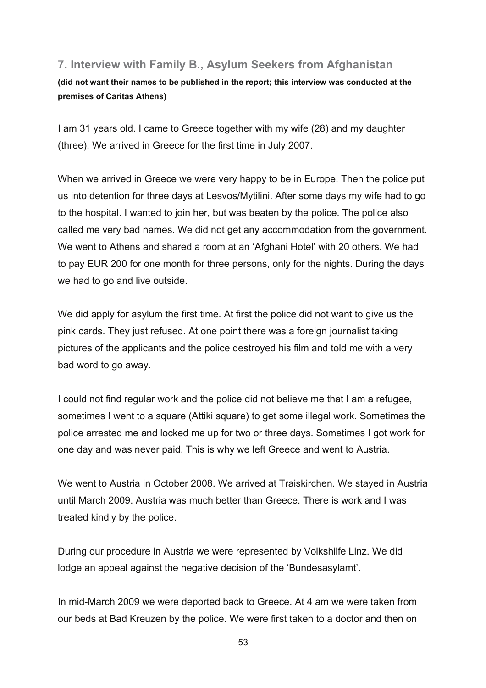# **7. Interview with Family B., Asylum Seekers from Afghanistan**

**(did not want their names to be published in the report; this interview was conducted at the premises of Caritas Athens)** 

I am 31 years old. I came to Greece together with my wife (28) and my daughter (three). We arrived in Greece for the first time in July 2007.

When we arrived in Greece we were very happy to be in Europe. Then the police put us into detention for three days at Lesvos/Mytilini. After some days my wife had to go to the hospital. I wanted to join her, but was beaten by the police. The police also called me very bad names. We did not get any accommodation from the government. We went to Athens and shared a room at an 'Afghani Hotel' with 20 others. We had to pay EUR 200 for one month for three persons, only for the nights. During the days we had to go and live outside.

We did apply for asylum the first time. At first the police did not want to give us the pink cards. They just refused. At one point there was a foreign journalist taking pictures of the applicants and the police destroyed his film and told me with a very bad word to go away.

I could not find regular work and the police did not believe me that I am a refugee, sometimes I went to a square (Attiki square) to get some illegal work. Sometimes the police arrested me and locked me up for two or three days. Sometimes I got work for one day and was never paid. This is why we left Greece and went to Austria.

We went to Austria in October 2008. We arrived at Traiskirchen. We stayed in Austria until March 2009. Austria was much better than Greece. There is work and I was treated kindly by the police.

During our procedure in Austria we were represented by Volkshilfe Linz. We did lodge an appeal against the negative decision of the 'Bundesasylamt'.

In mid-March 2009 we were deported back to Greece. At 4 am we were taken from our beds at Bad Kreuzen by the police. We were first taken to a doctor and then on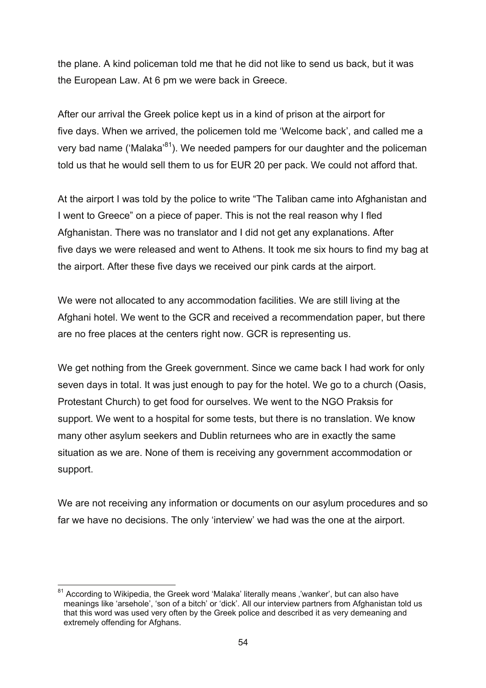the plane. A kind policeman told me that he did not like to send us back, but it was the European Law. At 6 pm we were back in Greece.

After our arrival the Greek police kept us in a kind of prison at the airport for five days. When we arrived, the policemen told me 'Welcome back', and called me a very bad name ('Malaka'<sup>81</sup>). We needed pampers for our daughter and the policeman told us that he would sell them to us for EUR 20 per pack. We could not afford that.

At the airport I was told by the police to write "The Taliban came into Afghanistan and I went to Greece" on a piece of paper. This is not the real reason why I fled Afghanistan. There was no translator and I did not get any explanations. After five days we were released and went to Athens. It took me six hours to find my bag at the airport. After these five days we received our pink cards at the airport.

We were not allocated to any accommodation facilities. We are still living at the Afghani hotel. We went to the GCR and received a recommendation paper, but there are no free places at the centers right now. GCR is representing us.

We get nothing from the Greek government. Since we came back I had work for only seven days in total. It was just enough to pay for the hotel. We go to a church (Oasis, Protestant Church) to get food for ourselves. We went to the NGO Praksis for support. We went to a hospital for some tests, but there is no translation. We know many other asylum seekers and Dublin returnees who are in exactly the same situation as we are. None of them is receiving any government accommodation or support.

We are not receiving any information or documents on our asylum procedures and so far we have no decisions. The only 'interview' we had was the one at the airport.

<sup>1</sup>  $81$  According to Wikipedia, the Greek word 'Malaka' literally means, 'wanker', but can also have meanings like 'arsehole', 'son of a bitch' or 'dick'. All our interview partners from Afghanistan told us that this word was used very often by the Greek police and described it as very demeaning and extremely offending for Afghans.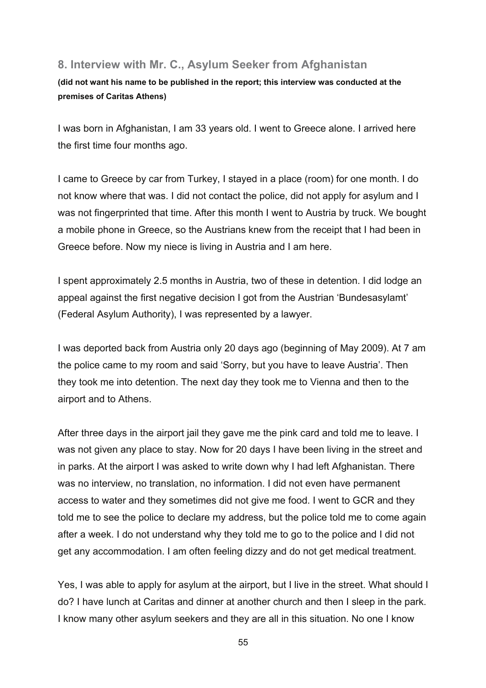### **8. Interview with Mr. C., Asylum Seeker from Afghanistan**

#### **(did not want his name to be published in the report; this interview was conducted at the premises of Caritas Athens)**

I was born in Afghanistan, I am 33 years old. I went to Greece alone. I arrived here the first time four months ago.

I came to Greece by car from Turkey, I stayed in a place (room) for one month. I do not know where that was. I did not contact the police, did not apply for asylum and I was not fingerprinted that time. After this month I went to Austria by truck. We bought a mobile phone in Greece, so the Austrians knew from the receipt that I had been in Greece before. Now my niece is living in Austria and I am here.

I spent approximately 2.5 months in Austria, two of these in detention. I did lodge an appeal against the first negative decision I got from the Austrian 'Bundesasylamt' (Federal Asylum Authority), I was represented by a lawyer.

I was deported back from Austria only 20 days ago (beginning of May 2009). At 7 am the police came to my room and said 'Sorry, but you have to leave Austria'. Then they took me into detention. The next day they took me to Vienna and then to the airport and to Athens.

After three days in the airport jail they gave me the pink card and told me to leave. I was not given any place to stay. Now for 20 days I have been living in the street and in parks. At the airport I was asked to write down why I had left Afghanistan. There was no interview, no translation, no information. I did not even have permanent access to water and they sometimes did not give me food. I went to GCR and they told me to see the police to declare my address, but the police told me to come again after a week. I do not understand why they told me to go to the police and I did not get any accommodation. I am often feeling dizzy and do not get medical treatment.

Yes, I was able to apply for asylum at the airport, but I live in the street. What should I do? I have lunch at Caritas and dinner at another church and then I sleep in the park. I know many other asylum seekers and they are all in this situation. No one I know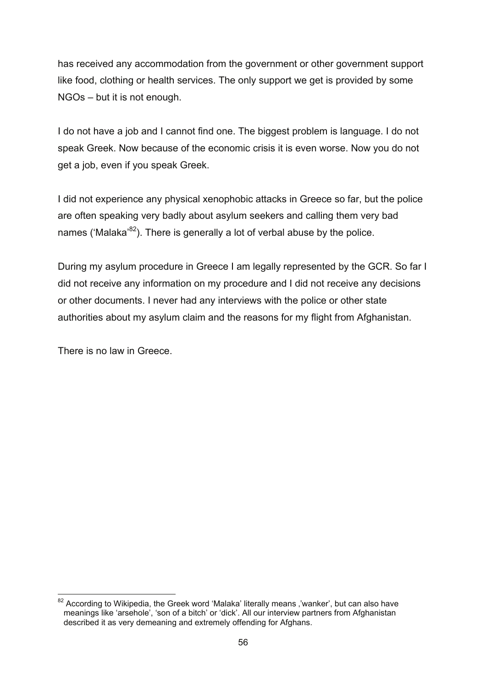has received any accommodation from the government or other government support like food, clothing or health services. The only support we get is provided by some NGOs – but it is not enough.

I do not have a job and I cannot find one. The biggest problem is language. I do not speak Greek. Now because of the economic crisis it is even worse. Now you do not get a job, even if you speak Greek.

I did not experience any physical xenophobic attacks in Greece so far, but the police are often speaking very badly about asylum seekers and calling them very bad names ('Malaka' $82$ ). There is generally a lot of verbal abuse by the police.

During my asylum procedure in Greece I am legally represented by the GCR. So far I did not receive any information on my procedure and I did not receive any decisions or other documents. I never had any interviews with the police or other state authorities about my asylum claim and the reasons for my flight from Afghanistan.

There is no law in Greece.

<sup>1</sup>  $82$  According to Wikipedia, the Greek word 'Malaka' literally means ,'wanker', but can also have meanings like 'arsehole', 'son of a bitch' or 'dick'. All our interview partners from Afghanistan described it as very demeaning and extremely offending for Afghans.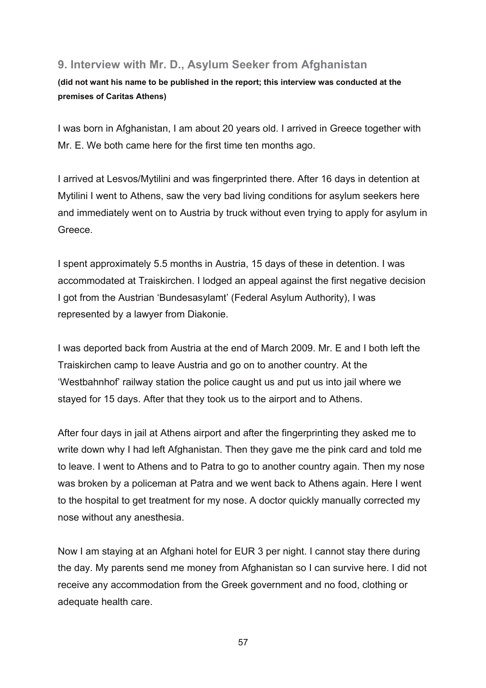# **9. Interview with Mr. D., Asylum Seeker from Afghanistan**

### **(did not want his name to be published in the report; this interview was conducted at the premises of Caritas Athens)**

I was born in Afghanistan, I am about 20 years old. I arrived in Greece together with Mr. E. We both came here for the first time ten months ago.

I arrived at Lesvos/Mytilini and was fingerprinted there. After 16 days in detention at Mytilini I went to Athens, saw the very bad living conditions for asylum seekers here and immediately went on to Austria by truck without even trying to apply for asylum in Greece.

I spent approximately 5.5 months in Austria, 15 days of these in detention. I was accommodated at Traiskirchen. I lodged an appeal against the first negative decision I got from the Austrian 'Bundesasylamt' (Federal Asylum Authority), I was represented by a lawyer from Diakonie.

I was deported back from Austria at the end of March 2009. Mr. E and I both left the Traiskirchen camp to leave Austria and go on to another country. At the 'Westbahnhof' railway station the police caught us and put us into jail where we stayed for 15 days. After that they took us to the airport and to Athens.

After four days in jail at Athens airport and after the fingerprinting they asked me to write down why I had left Afghanistan. Then they gave me the pink card and told me to leave. I went to Athens and to Patra to go to another country again. Then my nose was broken by a policeman at Patra and we went back to Athens again. Here I went to the hospital to get treatment for my nose. A doctor quickly manually corrected my nose without any anesthesia.

Now I am staying at an Afghani hotel for EUR 3 per night. I cannot stay there during the day. My parents send me money from Afghanistan so I can survive here. I did not receive any accommodation from the Greek government and no food, clothing or adequate health care.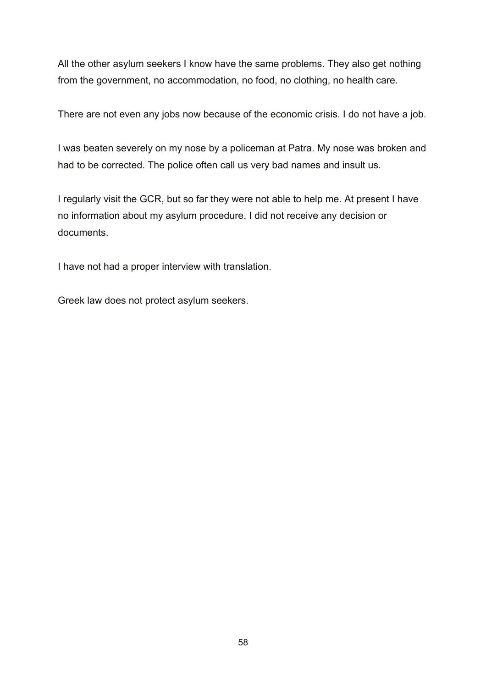All the other asylum seekers I know have the same problems. They also get nothing from the government, no accommodation, no food, no clothing, no health care.

There are not even any jobs now because of the economic crisis. I do not have a job.

I was beaten severely on my nose by a policeman at Patra. My nose was broken and had to be corrected. The police often call us very bad names and insult us.

I regularly visit the GCR, but so far they were not able to help me. At present I have no information about my asylum procedure, I did not receive any decision or documents.

I have not had a proper interview with translation.

Greek law does not protect asylum seekers.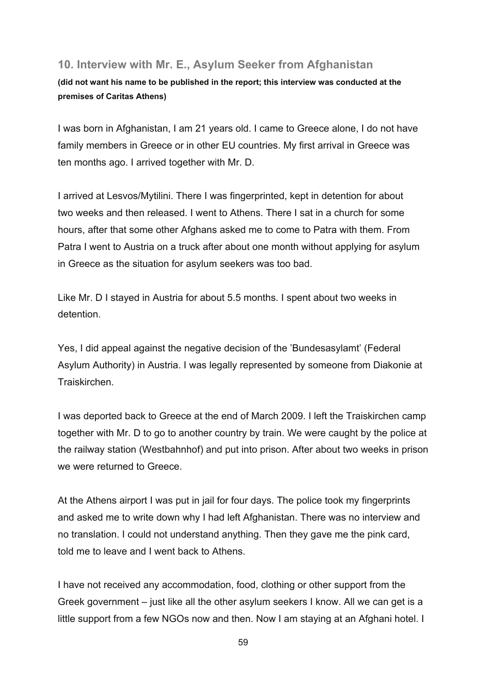### **10. Interview with Mr. E., Asylum Seeker from Afghanistan**

#### **(did not want his name to be published in the report; this interview was conducted at the premises of Caritas Athens)**

I was born in Afghanistan, I am 21 years old. I came to Greece alone, I do not have family members in Greece or in other EU countries. My first arrival in Greece was ten months ago. I arrived together with Mr. D.

I arrived at Lesvos/Mytilini. There I was fingerprinted, kept in detention for about two weeks and then released. I went to Athens. There I sat in a church for some hours, after that some other Afghans asked me to come to Patra with them. From Patra I went to Austria on a truck after about one month without applying for asylum in Greece as the situation for asylum seekers was too bad.

Like Mr. D I stayed in Austria for about 5.5 months. I spent about two weeks in detention.

Yes, I did appeal against the negative decision of the 'Bundesasylamt' (Federal Asylum Authority) in Austria. I was legally represented by someone from Diakonie at Traiskirchen.

I was deported back to Greece at the end of March 2009. I left the Traiskirchen camp together with Mr. D to go to another country by train. We were caught by the police at the railway station (Westbahnhof) and put into prison. After about two weeks in prison we were returned to Greece.

At the Athens airport I was put in jail for four days. The police took my fingerprints and asked me to write down why I had left Afghanistan. There was no interview and no translation. I could not understand anything. Then they gave me the pink card, told me to leave and I went back to Athens.

I have not received any accommodation, food, clothing or other support from the Greek government – just like all the other asylum seekers I know. All we can get is a little support from a few NGOs now and then. Now I am staying at an Afghani hotel. I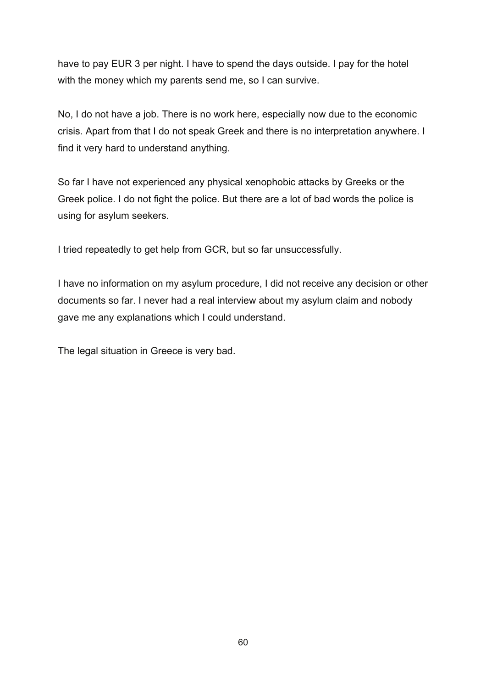have to pay EUR 3 per night. I have to spend the days outside. I pay for the hotel with the money which my parents send me, so I can survive.

No, I do not have a job. There is no work here, especially now due to the economic crisis. Apart from that I do not speak Greek and there is no interpretation anywhere. I find it very hard to understand anything.

So far I have not experienced any physical xenophobic attacks by Greeks or the Greek police. I do not fight the police. But there are a lot of bad words the police is using for asylum seekers.

I tried repeatedly to get help from GCR, but so far unsuccessfully.

I have no information on my asylum procedure, I did not receive any decision or other documents so far. I never had a real interview about my asylum claim and nobody gave me any explanations which I could understand.

The legal situation in Greece is very bad.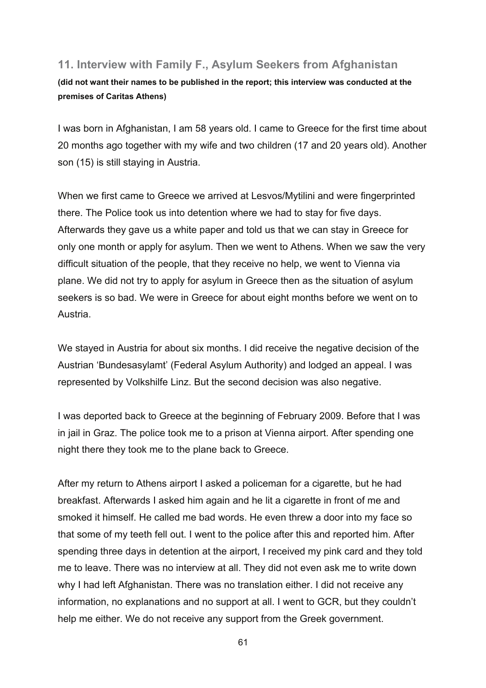## **11. Interview with Family F., Asylum Seekers from Afghanistan**

**(did not want their names to be published in the report; this interview was conducted at the premises of Caritas Athens)** 

I was born in Afghanistan, I am 58 years old. I came to Greece for the first time about 20 months ago together with my wife and two children (17 and 20 years old). Another son (15) is still staying in Austria.

When we first came to Greece we arrived at Lesvos/Mytilini and were fingerprinted there. The Police took us into detention where we had to stay for five days. Afterwards they gave us a white paper and told us that we can stay in Greece for only one month or apply for asylum. Then we went to Athens. When we saw the very difficult situation of the people, that they receive no help, we went to Vienna via plane. We did not try to apply for asylum in Greece then as the situation of asylum seekers is so bad. We were in Greece for about eight months before we went on to Austria.

We stayed in Austria for about six months. I did receive the negative decision of the Austrian 'Bundesasylamt' (Federal Asylum Authority) and lodged an appeal. I was represented by Volkshilfe Linz. But the second decision was also negative.

I was deported back to Greece at the beginning of February 2009. Before that I was in jail in Graz. The police took me to a prison at Vienna airport. After spending one night there they took me to the plane back to Greece.

After my return to Athens airport I asked a policeman for a cigarette, but he had breakfast. Afterwards I asked him again and he lit a cigarette in front of me and smoked it himself. He called me bad words. He even threw a door into my face so that some of my teeth fell out. I went to the police after this and reported him. After spending three days in detention at the airport, I received my pink card and they told me to leave. There was no interview at all. They did not even ask me to write down why I had left Afghanistan. There was no translation either. I did not receive any information, no explanations and no support at all. I went to GCR, but they couldn't help me either. We do not receive any support from the Greek government.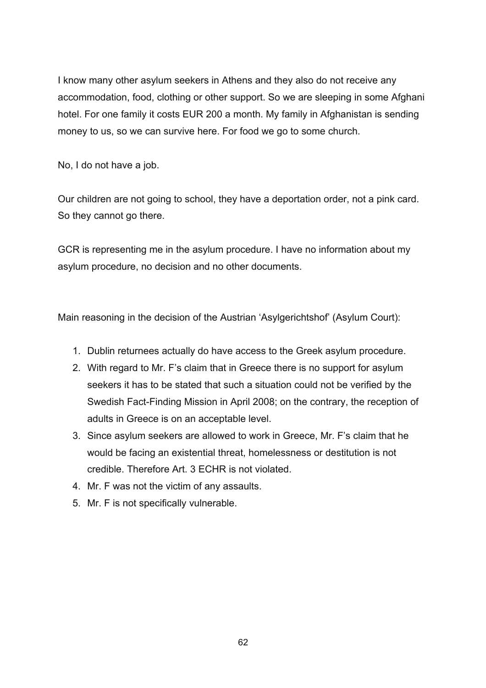I know many other asylum seekers in Athens and they also do not receive any accommodation, food, clothing or other support. So we are sleeping in some Afghani hotel. For one family it costs EUR 200 a month. My family in Afghanistan is sending money to us, so we can survive here. For food we go to some church.

No, I do not have a job.

Our children are not going to school, they have a deportation order, not a pink card. So they cannot go there.

GCR is representing me in the asylum procedure. I have no information about my asylum procedure, no decision and no other documents.

Main reasoning in the decision of the Austrian 'Asylgerichtshof' (Asylum Court):

- 1. Dublin returnees actually do have access to the Greek asylum procedure.
- 2. With regard to Mr. F's claim that in Greece there is no support for asylum seekers it has to be stated that such a situation could not be verified by the Swedish Fact-Finding Mission in April 2008; on the contrary, the reception of adults in Greece is on an acceptable level.
- 3. Since asylum seekers are allowed to work in Greece, Mr. F's claim that he would be facing an existential threat, homelessness or destitution is not credible. Therefore Art. 3 ECHR is not violated.
- 4. Mr. F was not the victim of any assaults.
- 5. Mr. F is not specifically vulnerable.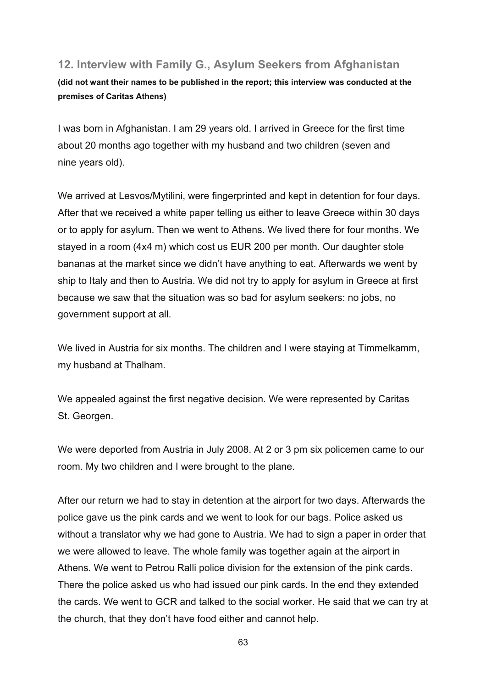# **12. Interview with Family G., Asylum Seekers from Afghanistan**

**(did not want their names to be published in the report; this interview was conducted at the premises of Caritas Athens)** 

I was born in Afghanistan. I am 29 years old. I arrived in Greece for the first time about 20 months ago together with my husband and two children (seven and nine years old).

We arrived at Lesvos/Mytilini, were fingerprinted and kept in detention for four days. After that we received a white paper telling us either to leave Greece within 30 days or to apply for asylum. Then we went to Athens. We lived there for four months. We stayed in a room (4x4 m) which cost us EUR 200 per month. Our daughter stole bananas at the market since we didn't have anything to eat. Afterwards we went by ship to Italy and then to Austria. We did not try to apply for asylum in Greece at first because we saw that the situation was so bad for asylum seekers: no jobs, no government support at all.

We lived in Austria for six months. The children and I were staying at Timmelkamm, my husband at Thalham.

We appealed against the first negative decision. We were represented by Caritas St. Georgen.

We were deported from Austria in July 2008. At 2 or 3 pm six policemen came to our room. My two children and I were brought to the plane.

After our return we had to stay in detention at the airport for two days. Afterwards the police gave us the pink cards and we went to look for our bags. Police asked us without a translator why we had gone to Austria. We had to sign a paper in order that we were allowed to leave. The whole family was together again at the airport in Athens. We went to Petrou Ralli police division for the extension of the pink cards. There the police asked us who had issued our pink cards. In the end they extended the cards. We went to GCR and talked to the social worker. He said that we can try at the church, that they don't have food either and cannot help.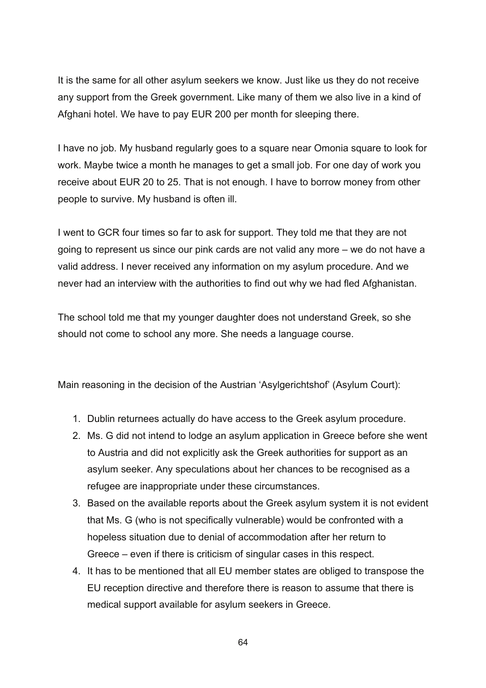It is the same for all other asylum seekers we know. Just like us they do not receive any support from the Greek government. Like many of them we also live in a kind of Afghani hotel. We have to pay EUR 200 per month for sleeping there.

I have no job. My husband regularly goes to a square near Omonia square to look for work. Maybe twice a month he manages to get a small job. For one day of work you receive about EUR 20 to 25. That is not enough. I have to borrow money from other people to survive. My husband is often ill.

I went to GCR four times so far to ask for support. They told me that they are not going to represent us since our pink cards are not valid any more – we do not have a valid address. I never received any information on my asylum procedure. And we never had an interview with the authorities to find out why we had fled Afghanistan.

The school told me that my younger daughter does not understand Greek, so she should not come to school any more. She needs a language course.

Main reasoning in the decision of the Austrian 'Asylgerichtshof' (Asylum Court):

- 1. Dublin returnees actually do have access to the Greek asylum procedure.
- 2. Ms. G did not intend to lodge an asylum application in Greece before she went to Austria and did not explicitly ask the Greek authorities for support as an asylum seeker. Any speculations about her chances to be recognised as a refugee are inappropriate under these circumstances.
- 3. Based on the available reports about the Greek asylum system it is not evident that Ms. G (who is not specifically vulnerable) would be confronted with a hopeless situation due to denial of accommodation after her return to Greece – even if there is criticism of singular cases in this respect.
- 4. It has to be mentioned that all EU member states are obliged to transpose the EU reception directive and therefore there is reason to assume that there is medical support available for asylum seekers in Greece.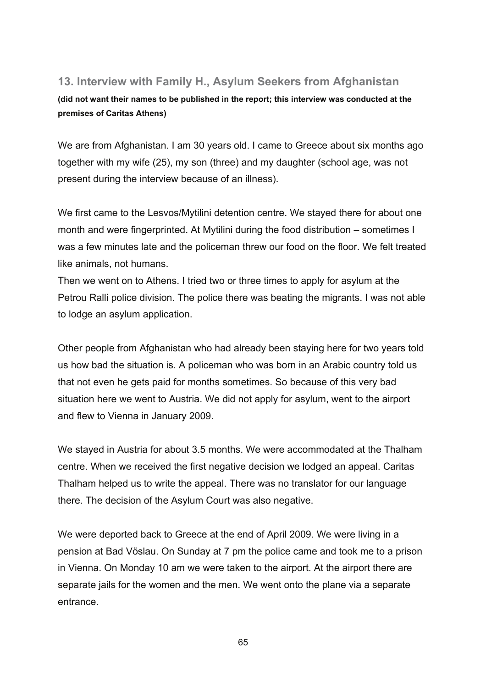# **13. Interview with Family H., Asylum Seekers from Afghanistan**

**(did not want their names to be published in the report; this interview was conducted at the premises of Caritas Athens)** 

We are from Afghanistan. I am 30 years old. I came to Greece about six months ago together with my wife (25), my son (three) and my daughter (school age, was not present during the interview because of an illness).

We first came to the Lesvos/Mytilini detention centre. We stayed there for about one month and were fingerprinted. At Mytilini during the food distribution – sometimes I was a few minutes late and the policeman threw our food on the floor. We felt treated like animals, not humans.

Then we went on to Athens. I tried two or three times to apply for asylum at the Petrou Ralli police division. The police there was beating the migrants. I was not able to lodge an asylum application.

Other people from Afghanistan who had already been staying here for two years told us how bad the situation is. A policeman who was born in an Arabic country told us that not even he gets paid for months sometimes. So because of this very bad situation here we went to Austria. We did not apply for asylum, went to the airport and flew to Vienna in January 2009.

We stayed in Austria for about 3.5 months. We were accommodated at the Thalham centre. When we received the first negative decision we lodged an appeal. Caritas Thalham helped us to write the appeal. There was no translator for our language there. The decision of the Asylum Court was also negative.

We were deported back to Greece at the end of April 2009. We were living in a pension at Bad Vöslau. On Sunday at 7 pm the police came and took me to a prison in Vienna. On Monday 10 am we were taken to the airport. At the airport there are separate jails for the women and the men. We went onto the plane via a separate entrance.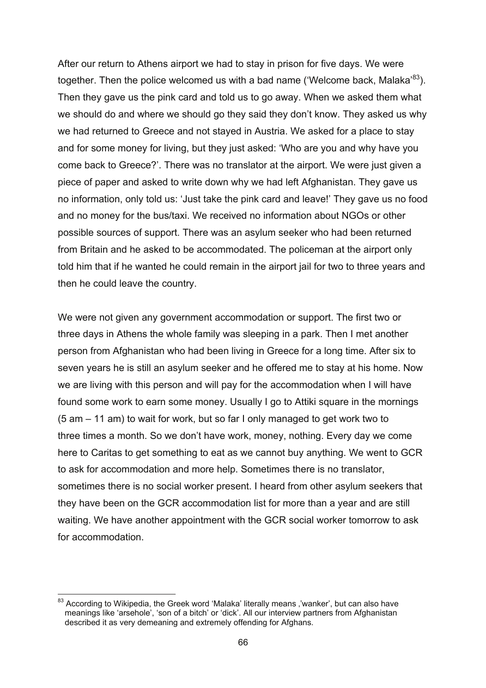After our return to Athens airport we had to stay in prison for five days. We were together. Then the police welcomed us with a bad name ('Welcome back, Malaka'<sup>83</sup>). Then they gave us the pink card and told us to go away. When we asked them what we should do and where we should go they said they don't know. They asked us why we had returned to Greece and not stayed in Austria. We asked for a place to stay and for some money for living, but they just asked: 'Who are you and why have you come back to Greece?'. There was no translator at the airport. We were just given a piece of paper and asked to write down why we had left Afghanistan. They gave us no information, only told us: 'Just take the pink card and leave!' They gave us no food and no money for the bus/taxi. We received no information about NGOs or other possible sources of support. There was an asylum seeker who had been returned from Britain and he asked to be accommodated. The policeman at the airport only told him that if he wanted he could remain in the airport jail for two to three years and then he could leave the country.

We were not given any government accommodation or support. The first two or three days in Athens the whole family was sleeping in a park. Then I met another person from Afghanistan who had been living in Greece for a long time. After six to seven years he is still an asylum seeker and he offered me to stay at his home. Now we are living with this person and will pay for the accommodation when I will have found some work to earn some money. Usually I go to Attiki square in the mornings (5 am – 11 am) to wait for work, but so far I only managed to get work two to three times a month. So we don't have work, money, nothing. Every day we come here to Caritas to get something to eat as we cannot buy anything. We went to GCR to ask for accommodation and more help. Sometimes there is no translator, sometimes there is no social worker present. I heard from other asylum seekers that they have been on the GCR accommodation list for more than a year and are still waiting. We have another appointment with the GCR social worker tomorrow to ask for accommodation.

<sup>1</sup>  $83$  According to Wikipedia, the Greek word 'Malaka' literally means ,'wanker', but can also have meanings like 'arsehole', 'son of a bitch' or 'dick'. All our interview partners from Afghanistan described it as very demeaning and extremely offending for Afghans.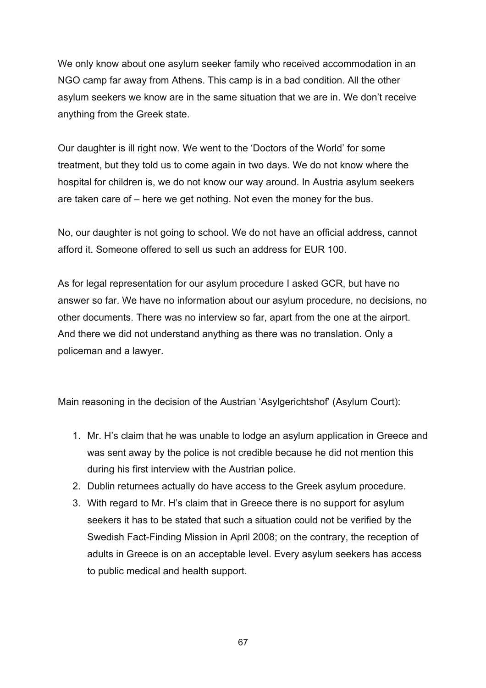We only know about one asylum seeker family who received accommodation in an NGO camp far away from Athens. This camp is in a bad condition. All the other asylum seekers we know are in the same situation that we are in. We don't receive anything from the Greek state.

Our daughter is ill right now. We went to the 'Doctors of the World' for some treatment, but they told us to come again in two days. We do not know where the hospital for children is, we do not know our way around. In Austria asylum seekers are taken care of – here we get nothing. Not even the money for the bus.

No, our daughter is not going to school. We do not have an official address, cannot afford it. Someone offered to sell us such an address for EUR 100.

As for legal representation for our asylum procedure I asked GCR, but have no answer so far. We have no information about our asylum procedure, no decisions, no other documents. There was no interview so far, apart from the one at the airport. And there we did not understand anything as there was no translation. Only a policeman and a lawyer.

Main reasoning in the decision of the Austrian 'Asylgerichtshof' (Asylum Court):

- 1. Mr. H's claim that he was unable to lodge an asylum application in Greece and was sent away by the police is not credible because he did not mention this during his first interview with the Austrian police.
- 2. Dublin returnees actually do have access to the Greek asylum procedure.
- 3. With regard to Mr. H's claim that in Greece there is no support for asylum seekers it has to be stated that such a situation could not be verified by the Swedish Fact-Finding Mission in April 2008; on the contrary, the reception of adults in Greece is on an acceptable level. Every asylum seekers has access to public medical and health support.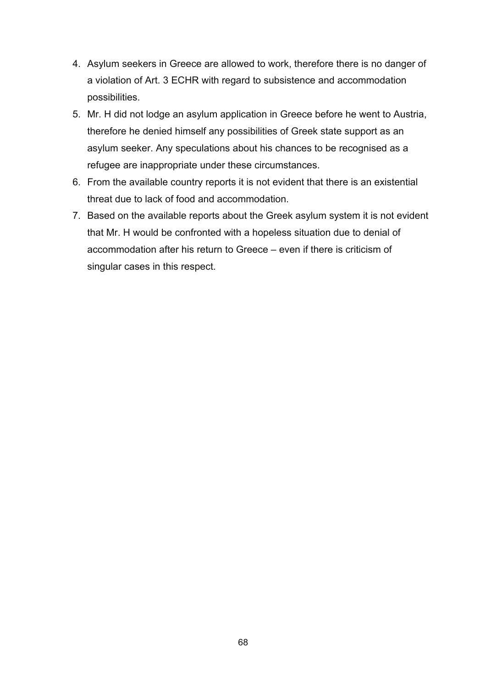- 4. Asylum seekers in Greece are allowed to work, therefore there is no danger of a violation of Art. 3 ECHR with regard to subsistence and accommodation possibilities.
- 5. Mr. H did not lodge an asylum application in Greece before he went to Austria, therefore he denied himself any possibilities of Greek state support as an asylum seeker. Any speculations about his chances to be recognised as a refugee are inappropriate under these circumstances.
- 6. From the available country reports it is not evident that there is an existential threat due to lack of food and accommodation.
- 7. Based on the available reports about the Greek asylum system it is not evident that Mr. H would be confronted with a hopeless situation due to denial of accommodation after his return to Greece – even if there is criticism of singular cases in this respect.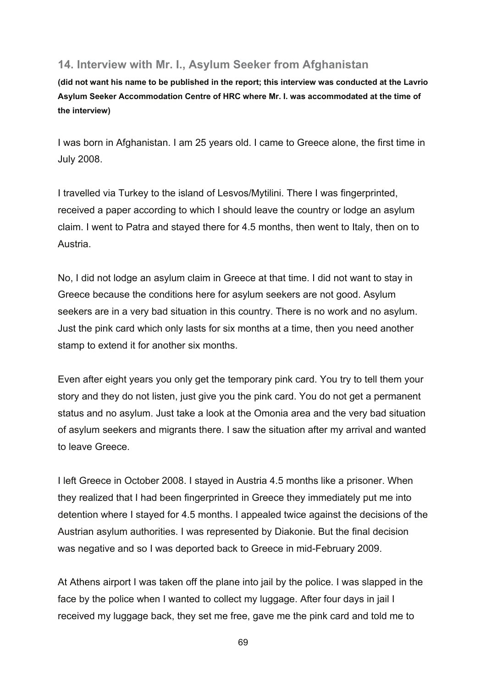### **14. Interview with Mr. I., Asylum Seeker from Afghanistan**

**(did not want his name to be published in the report; this interview was conducted at the Lavrio Asylum Seeker Accommodation Centre of HRC where Mr. I. was accommodated at the time of the interview)** 

I was born in Afghanistan. I am 25 years old. I came to Greece alone, the first time in July 2008.

I travelled via Turkey to the island of Lesvos/Mytilini. There I was fingerprinted, received a paper according to which I should leave the country or lodge an asylum claim. I went to Patra and stayed there for 4.5 months, then went to Italy, then on to Austria.

No, I did not lodge an asylum claim in Greece at that time. I did not want to stay in Greece because the conditions here for asylum seekers are not good. Asylum seekers are in a very bad situation in this country. There is no work and no asylum. Just the pink card which only lasts for six months at a time, then you need another stamp to extend it for another six months.

Even after eight years you only get the temporary pink card. You try to tell them your story and they do not listen, just give you the pink card. You do not get a permanent status and no asylum. Just take a look at the Omonia area and the very bad situation of asylum seekers and migrants there. I saw the situation after my arrival and wanted to leave Greece.

I left Greece in October 2008. I stayed in Austria 4.5 months like a prisoner. When they realized that I had been fingerprinted in Greece they immediately put me into detention where I stayed for 4.5 months. I appealed twice against the decisions of the Austrian asylum authorities. I was represented by Diakonie. But the final decision was negative and so I was deported back to Greece in mid-February 2009.

At Athens airport I was taken off the plane into jail by the police. I was slapped in the face by the police when I wanted to collect my luggage. After four days in jail I received my luggage back, they set me free, gave me the pink card and told me to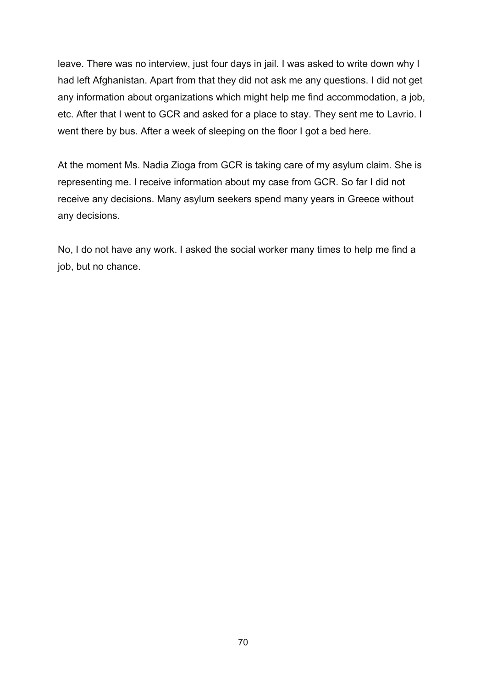leave. There was no interview, just four days in jail. I was asked to write down why I had left Afghanistan. Apart from that they did not ask me any questions. I did not get any information about organizations which might help me find accommodation, a job, etc. After that I went to GCR and asked for a place to stay. They sent me to Lavrio. I went there by bus. After a week of sleeping on the floor I got a bed here.

At the moment Ms. Nadia Zioga from GCR is taking care of my asylum claim. She is representing me. I receive information about my case from GCR. So far I did not receive any decisions. Many asylum seekers spend many years in Greece without any decisions.

No, I do not have any work. I asked the social worker many times to help me find a job, but no chance.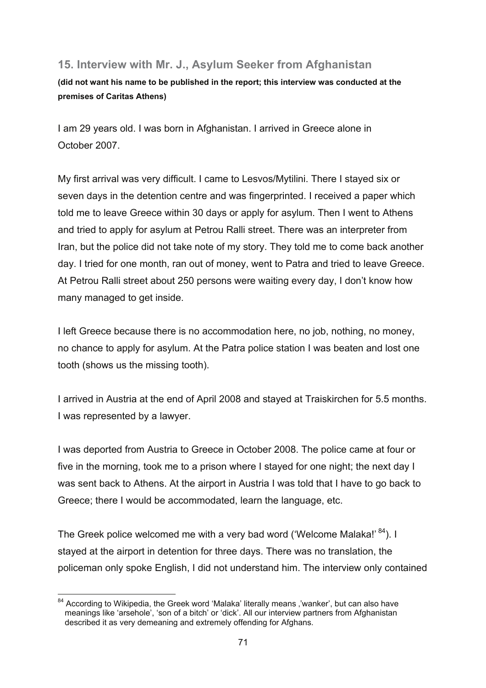# **15. Interview with Mr. J., Asylum Seeker from Afghanistan**

**(did not want his name to be published in the report; this interview was conducted at the premises of Caritas Athens)** 

I am 29 years old. I was born in Afghanistan. I arrived in Greece alone in October 2007.

My first arrival was very difficult. I came to Lesvos/Mytilini. There I stayed six or seven days in the detention centre and was fingerprinted. I received a paper which told me to leave Greece within 30 days or apply for asylum. Then I went to Athens and tried to apply for asylum at Petrou Ralli street. There was an interpreter from Iran, but the police did not take note of my story. They told me to come back another day. I tried for one month, ran out of money, went to Patra and tried to leave Greece. At Petrou Ralli street about 250 persons were waiting every day, I don't know how many managed to get inside.

I left Greece because there is no accommodation here, no job, nothing, no money, no chance to apply for asylum. At the Patra police station I was beaten and lost one tooth (shows us the missing tooth).

I arrived in Austria at the end of April 2008 and stayed at Traiskirchen for 5.5 months. I was represented by a lawyer.

I was deported from Austria to Greece in October 2008. The police came at four or five in the morning, took me to a prison where I stayed for one night; the next day I was sent back to Athens. At the airport in Austria I was told that I have to go back to Greece; there I would be accommodated, learn the language, etc.

The Greek police welcomed me with a very bad word ('Welcome Malaka!' 84). I stayed at the airport in detention for three days. There was no translation, the policeman only spoke English, I did not understand him. The interview only contained

<sup>1</sup>  $84$  According to Wikipedia, the Greek word 'Malaka' literally means ,'wanker', but can also have meanings like 'arsehole', 'son of a bitch' or 'dick'. All our interview partners from Afghanistan described it as very demeaning and extremely offending for Afghans.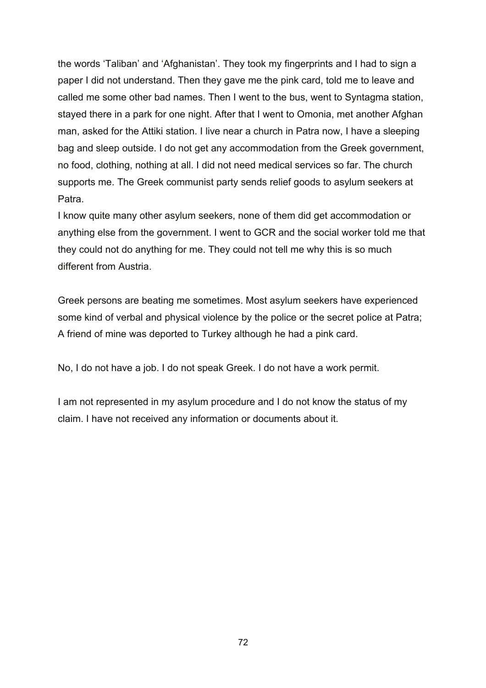the words 'Taliban' and 'Afghanistan'. They took my fingerprints and I had to sign a paper I did not understand. Then they gave me the pink card, told me to leave and called me some other bad names. Then I went to the bus, went to Syntagma station, stayed there in a park for one night. After that I went to Omonia, met another Afghan man, asked for the Attiki station. I live near a church in Patra now, I have a sleeping bag and sleep outside. I do not get any accommodation from the Greek government, no food, clothing, nothing at all. I did not need medical services so far. The church supports me. The Greek communist party sends relief goods to asylum seekers at Patra.

I know quite many other asylum seekers, none of them did get accommodation or anything else from the government. I went to GCR and the social worker told me that they could not do anything for me. They could not tell me why this is so much different from Austria.

Greek persons are beating me sometimes. Most asylum seekers have experienced some kind of verbal and physical violence by the police or the secret police at Patra; A friend of mine was deported to Turkey although he had a pink card.

No, I do not have a job. I do not speak Greek. I do not have a work permit.

I am not represented in my asylum procedure and I do not know the status of my claim. I have not received any information or documents about it.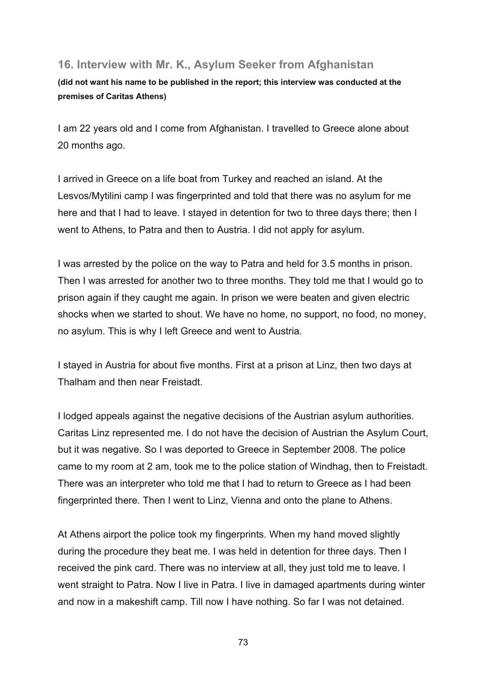### **16. Interview with Mr. K., Asylum Seeker from Afghanistan**

**(did not want his name to be published in the report; this interview was conducted at the premises of Caritas Athens)** 

I am 22 years old and I come from Afghanistan. I travelled to Greece alone about 20 months ago.

I arrived in Greece on a life boat from Turkey and reached an island. At the Lesvos/Mytilini camp I was fingerprinted and told that there was no asylum for me here and that I had to leave. I stayed in detention for two to three days there; then I went to Athens, to Patra and then to Austria. I did not apply for asylum.

I was arrested by the police on the way to Patra and held for 3.5 months in prison. Then I was arrested for another two to three months. They told me that I would go to prison again if they caught me again. In prison we were beaten and given electric shocks when we started to shout. We have no home, no support, no food, no money, no asylum. This is why I left Greece and went to Austria.

I stayed in Austria for about five months. First at a prison at Linz, then two days at Thalham and then near Freistadt.

I lodged appeals against the negative decisions of the Austrian asylum authorities. Caritas Linz represented me. I do not have the decision of Austrian the Asylum Court, but it was negative. So I was deported to Greece in September 2008. The police came to my room at 2 am, took me to the police station of Windhag, then to Freistadt. There was an interpreter who told me that I had to return to Greece as I had been fingerprinted there. Then I went to Linz, Vienna and onto the plane to Athens.

At Athens airport the police took my fingerprints. When my hand moved slightly during the procedure they beat me. I was held in detention for three days. Then I received the pink card. There was no interview at all, they just told me to leave. I went straight to Patra. Now I live in Patra. I live in damaged apartments during winter and now in a makeshift camp. Till now I have nothing. So far I was not detained.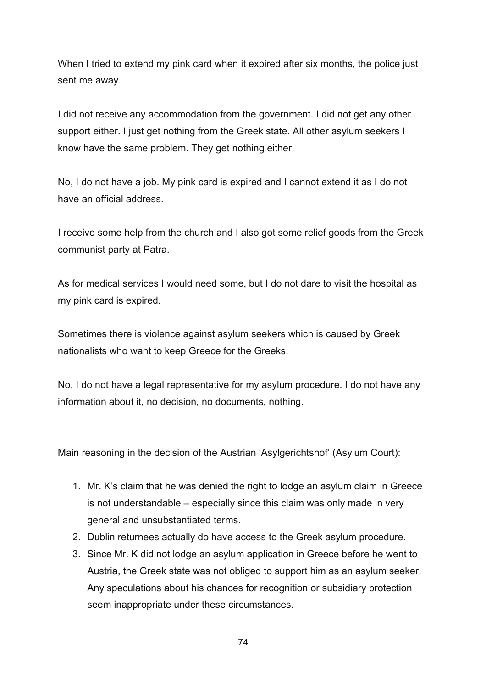When I tried to extend my pink card when it expired after six months, the police just sent me away.

I did not receive any accommodation from the government. I did not get any other support either. I just get nothing from the Greek state. All other asylum seekers I know have the same problem. They get nothing either.

No, I do not have a job. My pink card is expired and I cannot extend it as I do not have an official address.

I receive some help from the church and I also got some relief goods from the Greek communist party at Patra.

As for medical services I would need some, but I do not dare to visit the hospital as my pink card is expired.

Sometimes there is violence against asylum seekers which is caused by Greek nationalists who want to keep Greece for the Greeks.

No, I do not have a legal representative for my asylum procedure. I do not have any information about it, no decision, no documents, nothing.

Main reasoning in the decision of the Austrian 'Asylgerichtshof' (Asylum Court):

- 1. Mr. K's claim that he was denied the right to lodge an asylum claim in Greece is not understandable – especially since this claim was only made in very general and unsubstantiated terms.
- 2. Dublin returnees actually do have access to the Greek asylum procedure.
- 3. Since Mr. K did not lodge an asylum application in Greece before he went to Austria, the Greek state was not obliged to support him as an asylum seeker. Any speculations about his chances for recognition or subsidiary protection seem inappropriate under these circumstances.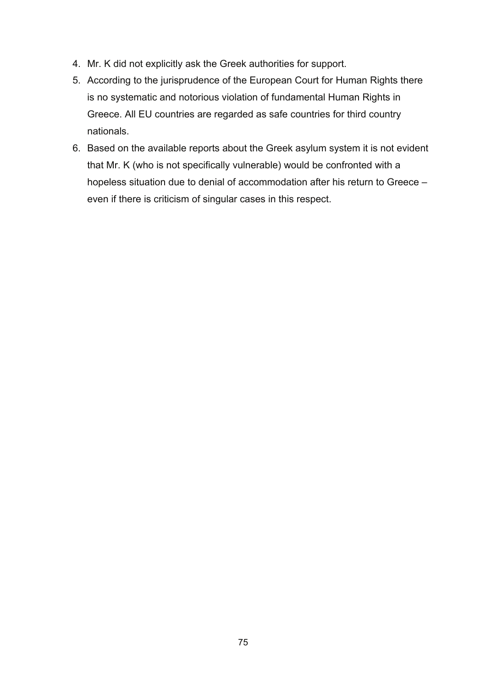- 4. Mr. K did not explicitly ask the Greek authorities for support.
- 5. According to the jurisprudence of the European Court for Human Rights there is no systematic and notorious violation of fundamental Human Rights in Greece. All EU countries are regarded as safe countries for third country nationals.
- 6. Based on the available reports about the Greek asylum system it is not evident that Mr. K (who is not specifically vulnerable) would be confronted with a hopeless situation due to denial of accommodation after his return to Greece – even if there is criticism of singular cases in this respect.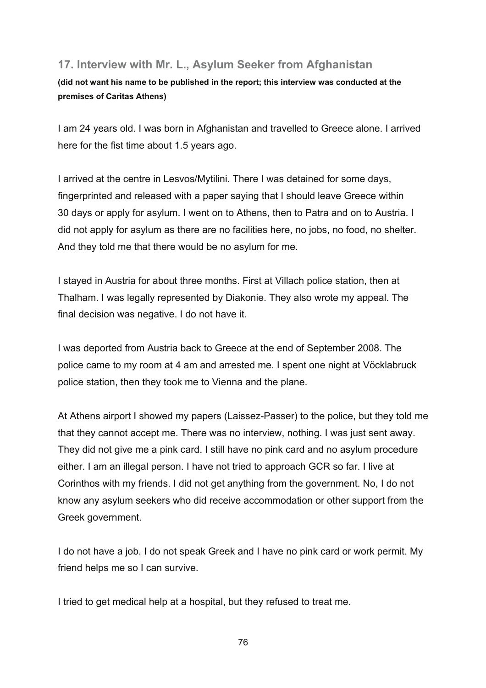## **17. Interview with Mr. L., Asylum Seeker from Afghanistan**

**(did not want his name to be published in the report; this interview was conducted at the premises of Caritas Athens)** 

I am 24 years old. I was born in Afghanistan and travelled to Greece alone. I arrived here for the fist time about 1.5 years ago.

I arrived at the centre in Lesvos/Mytilini. There I was detained for some days, fingerprinted and released with a paper saying that I should leave Greece within 30 days or apply for asylum. I went on to Athens, then to Patra and on to Austria. I did not apply for asylum as there are no facilities here, no jobs, no food, no shelter. And they told me that there would be no asylum for me.

I stayed in Austria for about three months. First at Villach police station, then at Thalham. I was legally represented by Diakonie. They also wrote my appeal. The final decision was negative. I do not have it.

I was deported from Austria back to Greece at the end of September 2008. The police came to my room at 4 am and arrested me. I spent one night at Vöcklabruck police station, then they took me to Vienna and the plane.

At Athens airport I showed my papers (Laissez-Passer) to the police, but they told me that they cannot accept me. There was no interview, nothing. I was just sent away. They did not give me a pink card. I still have no pink card and no asylum procedure either. I am an illegal person. I have not tried to approach GCR so far. I live at Corinthos with my friends. I did not get anything from the government. No, I do not know any asylum seekers who did receive accommodation or other support from the Greek government.

I do not have a job. I do not speak Greek and I have no pink card or work permit. My friend helps me so I can survive.

I tried to get medical help at a hospital, but they refused to treat me.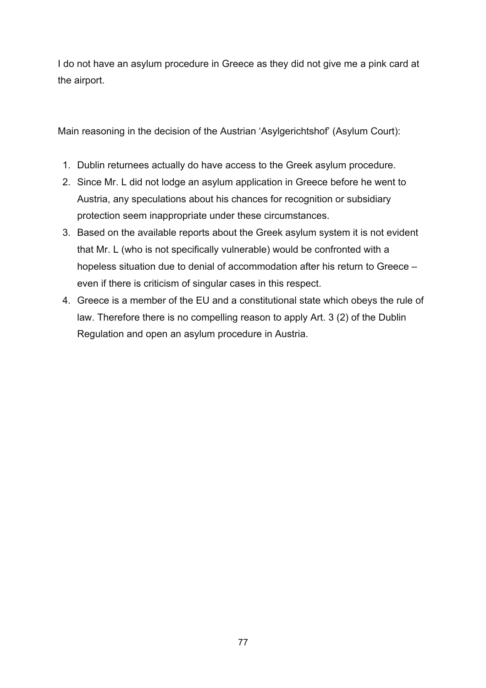I do not have an asylum procedure in Greece as they did not give me a pink card at the airport.

Main reasoning in the decision of the Austrian 'Asylgerichtshof' (Asylum Court):

- 1. Dublin returnees actually do have access to the Greek asylum procedure.
- 2. Since Mr. L did not lodge an asylum application in Greece before he went to Austria, any speculations about his chances for recognition or subsidiary protection seem inappropriate under these circumstances.
- 3. Based on the available reports about the Greek asylum system it is not evident that Mr. L (who is not specifically vulnerable) would be confronted with a hopeless situation due to denial of accommodation after his return to Greece – even if there is criticism of singular cases in this respect.
- 4. Greece is a member of the EU and a constitutional state which obeys the rule of law. Therefore there is no compelling reason to apply Art. 3 (2) of the Dublin Regulation and open an asylum procedure in Austria.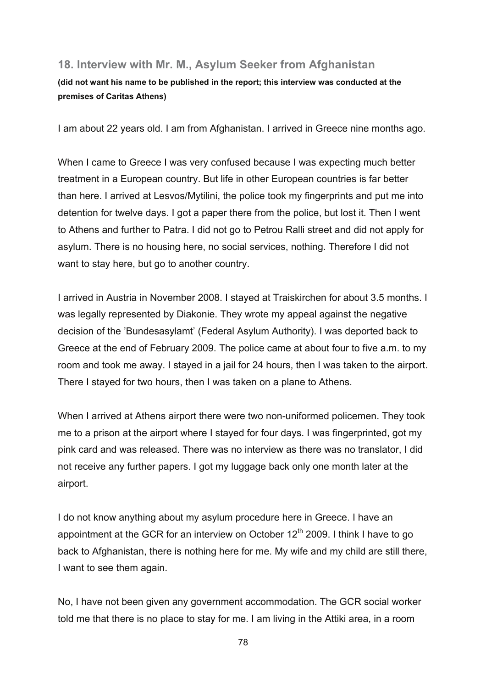#### **18. Interview with Mr. M., Asylum Seeker from Afghanistan**

#### **(did not want his name to be published in the report; this interview was conducted at the premises of Caritas Athens)**

I am about 22 years old. I am from Afghanistan. I arrived in Greece nine months ago.

When I came to Greece I was very confused because I was expecting much better treatment in a European country. But life in other European countries is far better than here. I arrived at Lesvos/Mytilini, the police took my fingerprints and put me into detention for twelve days. I got a paper there from the police, but lost it. Then I went to Athens and further to Patra. I did not go to Petrou Ralli street and did not apply for asylum. There is no housing here, no social services, nothing. Therefore I did not want to stay here, but go to another country.

I arrived in Austria in November 2008. I stayed at Traiskirchen for about 3.5 months. I was legally represented by Diakonie. They wrote my appeal against the negative decision of the 'Bundesasylamt' (Federal Asylum Authority). I was deported back to Greece at the end of February 2009. The police came at about four to five a.m. to my room and took me away. I stayed in a jail for 24 hours, then I was taken to the airport. There I stayed for two hours, then I was taken on a plane to Athens.

When I arrived at Athens airport there were two non-uniformed policemen. They took me to a prison at the airport where I stayed for four days. I was fingerprinted, got my pink card and was released. There was no interview as there was no translator, I did not receive any further papers. I got my luggage back only one month later at the airport.

I do not know anything about my asylum procedure here in Greece. I have an appointment at the GCR for an interview on October  $12<sup>th</sup>$  2009. I think I have to go back to Afghanistan, there is nothing here for me. My wife and my child are still there, I want to see them again.

No, I have not been given any government accommodation. The GCR social worker told me that there is no place to stay for me. I am living in the Attiki area, in a room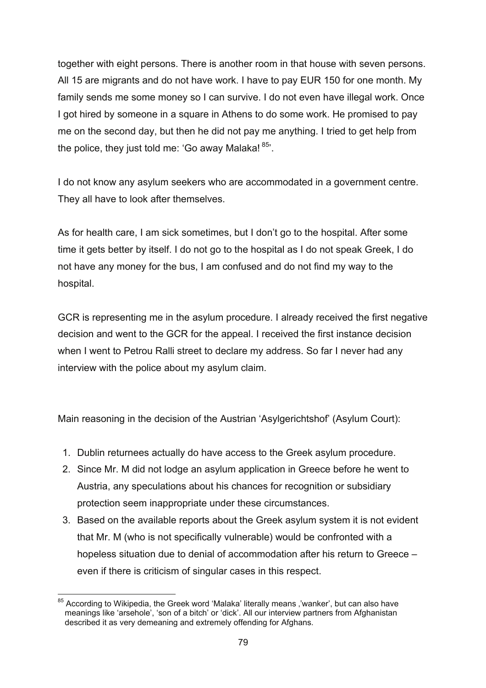together with eight persons. There is another room in that house with seven persons. All 15 are migrants and do not have work. I have to pay EUR 150 for one month. My family sends me some money so I can survive. I do not even have illegal work. Once I got hired by someone in a square in Athens to do some work. He promised to pay me on the second day, but then he did not pay me anything. I tried to get help from the police, they just told me: 'Go away Malaka!  $85$ '.

I do not know any asylum seekers who are accommodated in a government centre. They all have to look after themselves.

As for health care, I am sick sometimes, but I don't go to the hospital. After some time it gets better by itself. I do not go to the hospital as I do not speak Greek, I do not have any money for the bus, I am confused and do not find my way to the hospital.

GCR is representing me in the asylum procedure. I already received the first negative decision and went to the GCR for the appeal. I received the first instance decision when I went to Petrou Ralli street to declare my address. So far I never had any interview with the police about my asylum claim.

Main reasoning in the decision of the Austrian 'Asylgerichtshof' (Asylum Court):

- 1. Dublin returnees actually do have access to the Greek asylum procedure.
- 2. Since Mr. M did not lodge an asylum application in Greece before he went to Austria, any speculations about his chances for recognition or subsidiary protection seem inappropriate under these circumstances.
- 3. Based on the available reports about the Greek asylum system it is not evident that Mr. M (who is not specifically vulnerable) would be confronted with a hopeless situation due to denial of accommodation after his return to Greece – even if there is criticism of singular cases in this respect.

<sup>1</sup>  $85$  According to Wikipedia, the Greek word 'Malaka' literally means ,'wanker', but can also have meanings like 'arsehole', 'son of a bitch' or 'dick'. All our interview partners from Afghanistan described it as very demeaning and extremely offending for Afghans.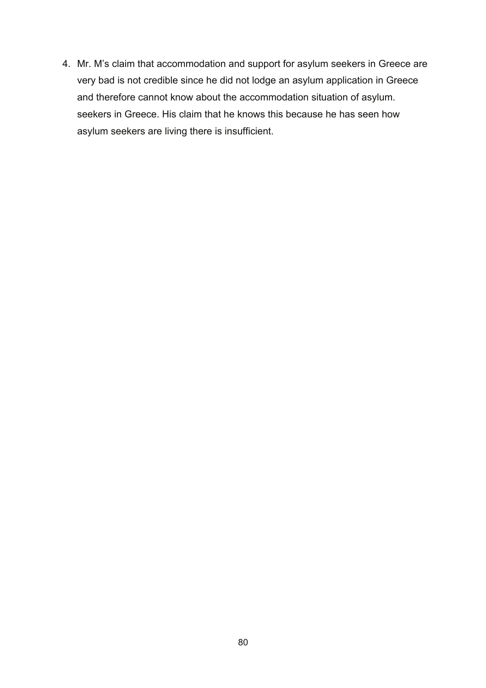4. Mr. M's claim that accommodation and support for asylum seekers in Greece are very bad is not credible since he did not lodge an asylum application in Greece and therefore cannot know about the accommodation situation of asylum. seekers in Greece. His claim that he knows this because he has seen how asylum seekers are living there is insufficient.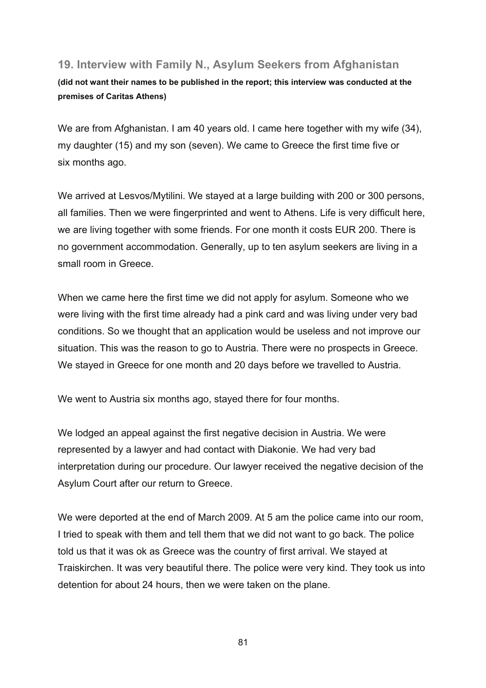### **19. Interview with Family N., Asylum Seekers from Afghanistan**

**(did not want their names to be published in the report; this interview was conducted at the premises of Caritas Athens)** 

We are from Afghanistan. I am 40 years old. I came here together with my wife (34), my daughter (15) and my son (seven). We came to Greece the first time five or six months ago.

We arrived at Lesvos/Mytilini. We stayed at a large building with 200 or 300 persons, all families. Then we were fingerprinted and went to Athens. Life is very difficult here, we are living together with some friends. For one month it costs EUR 200. There is no government accommodation. Generally, up to ten asylum seekers are living in a small room in Greece.

When we came here the first time we did not apply for asylum. Someone who we were living with the first time already had a pink card and was living under very bad conditions. So we thought that an application would be useless and not improve our situation. This was the reason to go to Austria. There were no prospects in Greece. We stayed in Greece for one month and 20 days before we travelled to Austria.

We went to Austria six months ago, stayed there for four months.

We lodged an appeal against the first negative decision in Austria. We were represented by a lawyer and had contact with Diakonie. We had very bad interpretation during our procedure. Our lawyer received the negative decision of the Asylum Court after our return to Greece.

We were deported at the end of March 2009. At 5 am the police came into our room, I tried to speak with them and tell them that we did not want to go back. The police told us that it was ok as Greece was the country of first arrival. We stayed at Traiskirchen. It was very beautiful there. The police were very kind. They took us into detention for about 24 hours, then we were taken on the plane.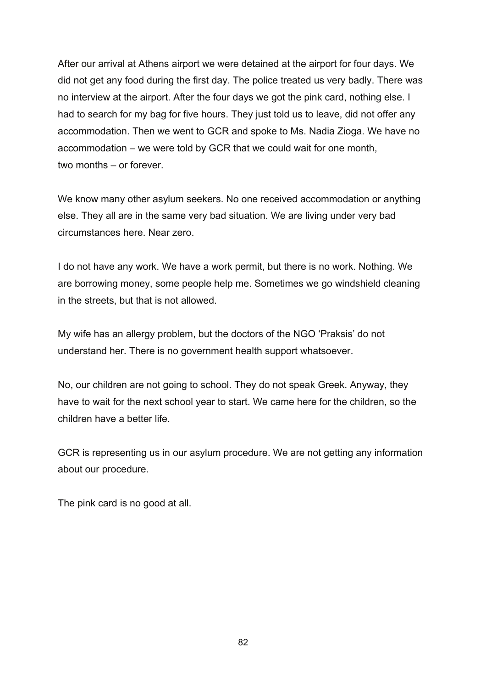After our arrival at Athens airport we were detained at the airport for four days. We did not get any food during the first day. The police treated us very badly. There was no interview at the airport. After the four days we got the pink card, nothing else. I had to search for my bag for five hours. They just told us to leave, did not offer any accommodation. Then we went to GCR and spoke to Ms. Nadia Zioga. We have no accommodation – we were told by GCR that we could wait for one month, two months – or forever.

We know many other asylum seekers. No one received accommodation or anything else. They all are in the same very bad situation. We are living under very bad circumstances here. Near zero.

I do not have any work. We have a work permit, but there is no work. Nothing. We are borrowing money, some people help me. Sometimes we go windshield cleaning in the streets, but that is not allowed.

My wife has an allergy problem, but the doctors of the NGO 'Praksis' do not understand her. There is no government health support whatsoever.

No, our children are not going to school. They do not speak Greek. Anyway, they have to wait for the next school year to start. We came here for the children, so the children have a better life.

GCR is representing us in our asylum procedure. We are not getting any information about our procedure.

The pink card is no good at all.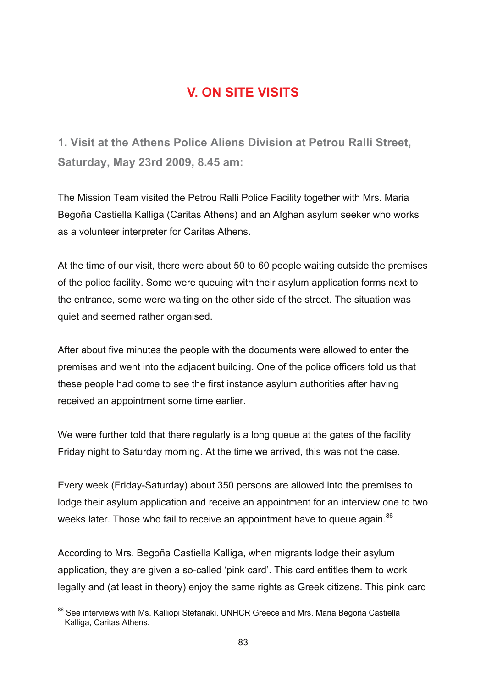# **V. ON SITE VISITS**

**1. Visit at the Athens Police Aliens Division at Petrou Ralli Street, Saturday, May 23rd 2009, 8.45 am:**

The Mission Team visited the Petrou Ralli Police Facility together with Mrs. Maria Begoña Castiella Kalliga (Caritas Athens) and an Afghan asylum seeker who works as a volunteer interpreter for Caritas Athens.

At the time of our visit, there were about 50 to 60 people waiting outside the premises of the police facility. Some were queuing with their asylum application forms next to the entrance, some were waiting on the other side of the street. The situation was quiet and seemed rather organised.

After about five minutes the people with the documents were allowed to enter the premises and went into the adjacent building. One of the police officers told us that these people had come to see the first instance asylum authorities after having received an appointment some time earlier.

We were further told that there regularly is a long queue at the gates of the facility Friday night to Saturday morning. At the time we arrived, this was not the case.

Every week (Friday-Saturday) about 350 persons are allowed into the premises to lodge their asylum application and receive an appointment for an interview one to two weeks later. Those who fail to receive an appointment have to queue again.<sup>86</sup>

According to Mrs. Begoña Castiella Kalliga, when migrants lodge their asylum application, they are given a so-called 'pink card'. This card entitles them to work legally and (at least in theory) enjoy the same rights as Greek citizens. This pink card

<sup>1</sup> <sup>86</sup> See interviews with Ms. Kalliopi Stefanaki, UNHCR Greece and Mrs. Maria Begoña Castiella Kalliga, Caritas Athens.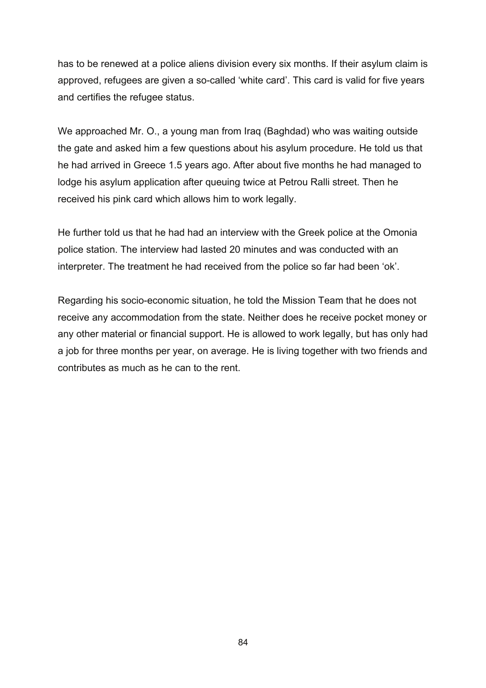has to be renewed at a police aliens division every six months. If their asylum claim is approved, refugees are given a so-called 'white card'. This card is valid for five years and certifies the refugee status.

We approached Mr. O., a young man from Iraq (Baghdad) who was waiting outside the gate and asked him a few questions about his asylum procedure. He told us that he had arrived in Greece 1.5 years ago. After about five months he had managed to lodge his asylum application after queuing twice at Petrou Ralli street. Then he received his pink card which allows him to work legally.

He further told us that he had had an interview with the Greek police at the Omonia police station. The interview had lasted 20 minutes and was conducted with an interpreter. The treatment he had received from the police so far had been 'ok'.

Regarding his socio-economic situation, he told the Mission Team that he does not receive any accommodation from the state. Neither does he receive pocket money or any other material or financial support. He is allowed to work legally, but has only had a job for three months per year, on average. He is living together with two friends and contributes as much as he can to the rent.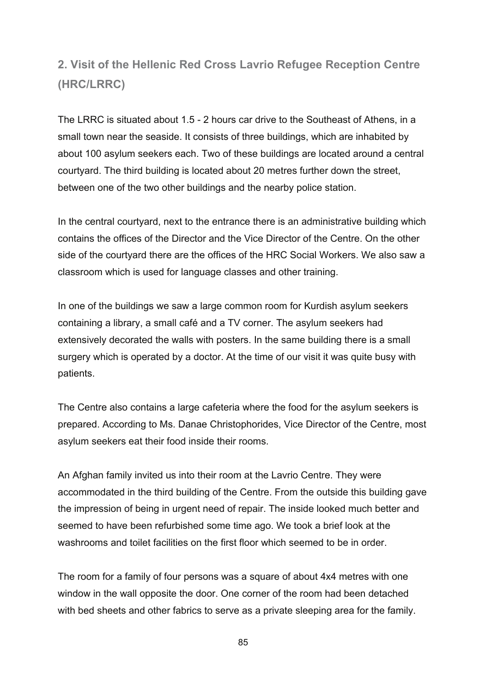# **2. Visit of the Hellenic Red Cross Lavrio Refugee Reception Centre (HRC/LRRC)**

The LRRC is situated about 1.5 - 2 hours car drive to the Southeast of Athens, in a small town near the seaside. It consists of three buildings, which are inhabited by about 100 asylum seekers each. Two of these buildings are located around a central courtyard. The third building is located about 20 metres further down the street, between one of the two other buildings and the nearby police station.

In the central courtyard, next to the entrance there is an administrative building which contains the offices of the Director and the Vice Director of the Centre. On the other side of the courtyard there are the offices of the HRC Social Workers. We also saw a classroom which is used for language classes and other training.

In one of the buildings we saw a large common room for Kurdish asylum seekers containing a library, a small café and a TV corner. The asylum seekers had extensively decorated the walls with posters. In the same building there is a small surgery which is operated by a doctor. At the time of our visit it was quite busy with patients.

The Centre also contains a large cafeteria where the food for the asylum seekers is prepared. According to Ms. Danae Christophorides, Vice Director of the Centre, most asylum seekers eat their food inside their rooms.

An Afghan family invited us into their room at the Lavrio Centre. They were accommodated in the third building of the Centre. From the outside this building gave the impression of being in urgent need of repair. The inside looked much better and seemed to have been refurbished some time ago. We took a brief look at the washrooms and toilet facilities on the first floor which seemed to be in order.

The room for a family of four persons was a square of about 4x4 metres with one window in the wall opposite the door. One corner of the room had been detached with bed sheets and other fabrics to serve as a private sleeping area for the family.